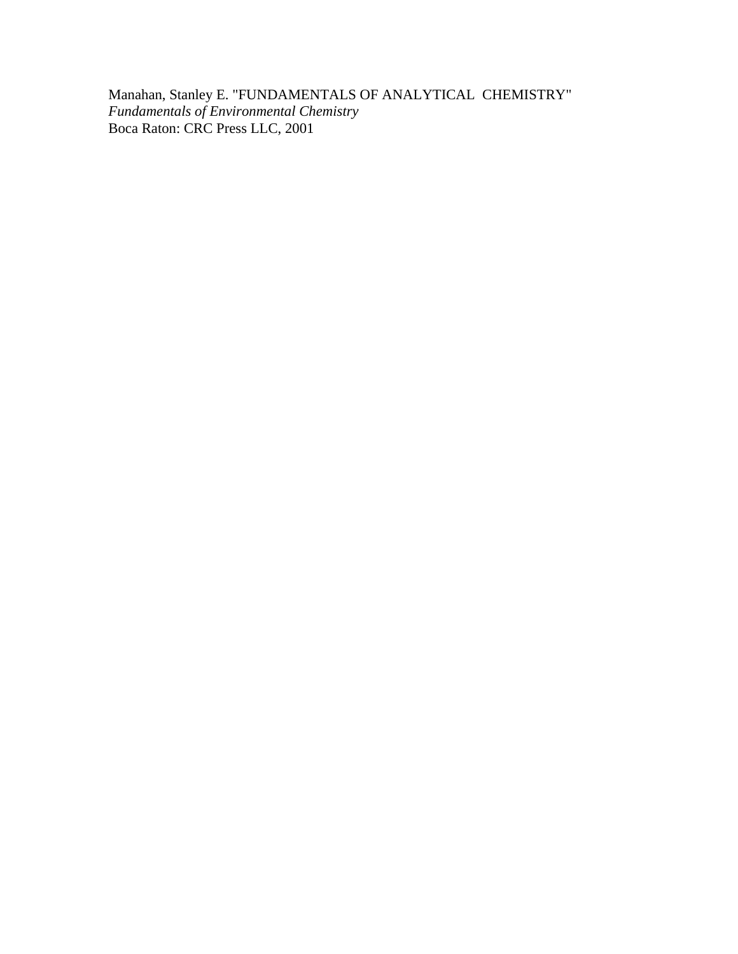Manahan, Stanley E. "FUNDAMENTALS OF ANALYTICAL CHEMISTRY" *Fundamentals of Environmental Chemistry* Boca Raton: CRC Press LLC, 2001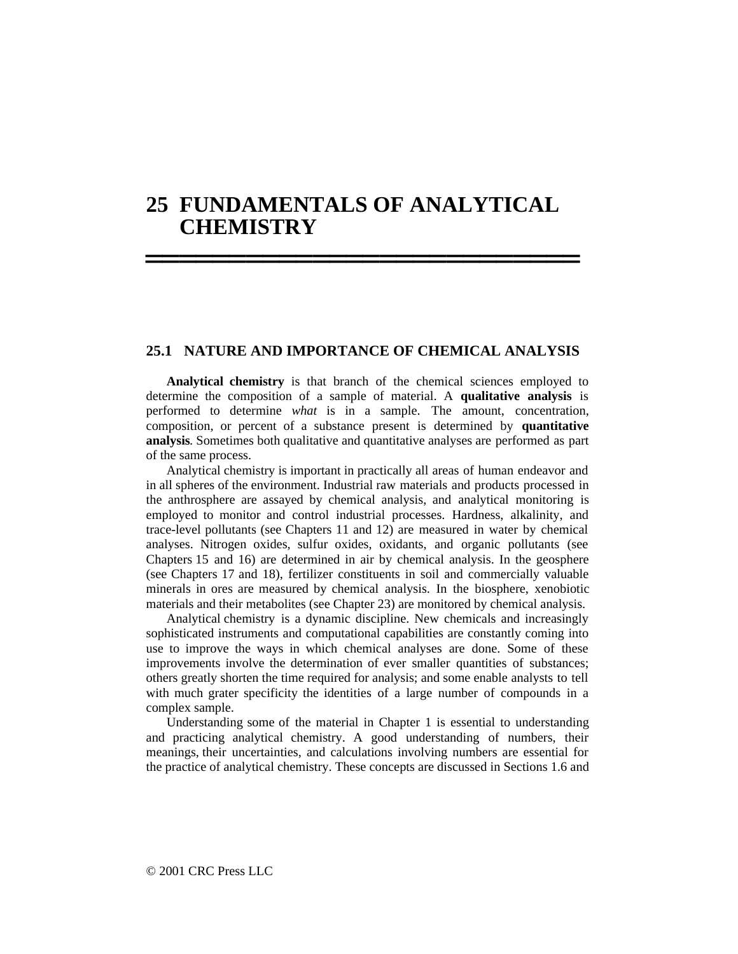# **25 FUNDAMENTALS OF ANALYTICAL CHEMISTRY TEMISINI**

#### **25.1 NATURE AND IMPORTANCE OF CHEMICAL ANALYSIS**

**Analytical chemistry** is that branch of the chemical sciences employed to determine the composition of a sample of material. A **qualitative analysis** is performed to determine *what* is in a sample. The amount, concentration, composition, or percent of a substance present is determined by **quantitative analysis**. Sometimes both qualitative and quantitative analyses are performed as part of the same process.

Analytical chemistry is important in practically all areas of human endeavor and in all spheres of the environment. Industrial raw materials and products processed in the anthrosphere are assayed by chemical analysis, and analytical monitoring is employed to monitor and control industrial processes. Hardness, alkalinity, and trace-level pollutants (see Chapters 11 and 12) are measured in water by chemical analyses. Nitrogen oxides, sulfur oxides, oxidants, and organic pollutants (see Chapters 15 and 16) are determined in air by chemical analysis. In the geosphere (see Chapters 17 and 18), fertilizer constituents in soil and commercially valuable minerals in ores are measured by chemical analysis. In the biosphere, xenobiotic materials and their metabolites (see Chapter 23) are monitored by chemical analysis.

Analytical chemistry is a dynamic discipline. New chemicals and increasingly sophisticated instruments and computational capabilities are constantly coming into use to improve the ways in which chemical analyses are done. Some of these improvements involve the determination of ever smaller quantities of substances; others greatly shorten the time required for analysis; and some enable analysts to tell with much grater specificity the identities of a large number of compounds in a complex sample.

Understanding some of the material in Chapter 1 is essential to understanding and practicing analytical chemistry. A good understanding of numbers, their meanings, their uncertainties, and calculations involving numbers are essential for the practice of analytical chemistry. These concepts are discussed in Sections 1.6 and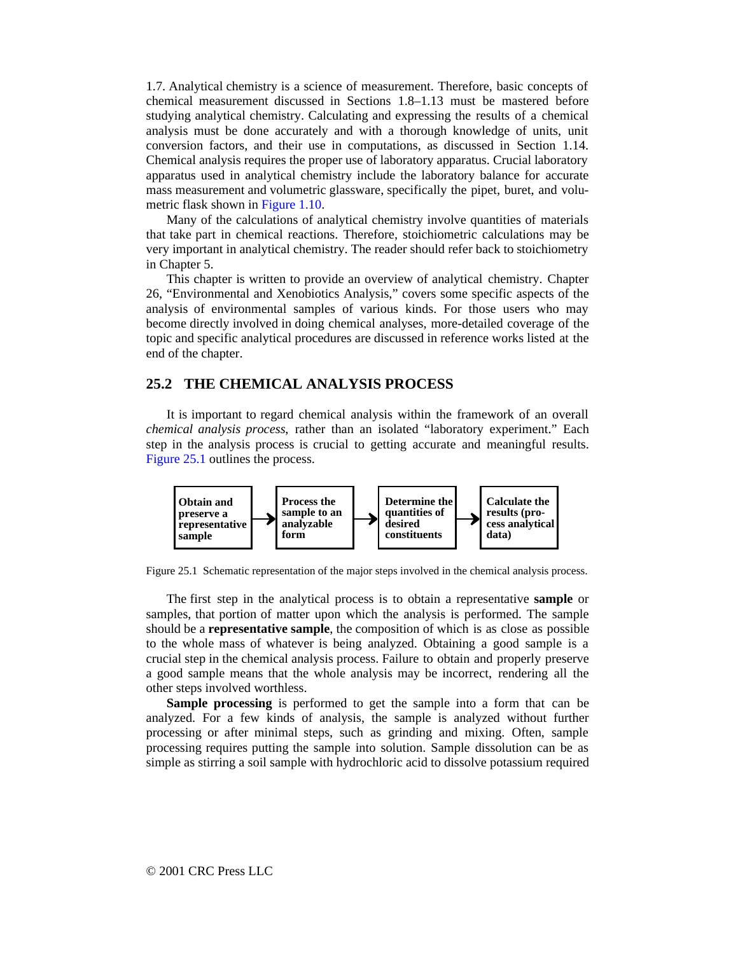1.7. Analytical chemistry is a science of measurement. Therefore, basic concepts of chemical measurement discussed in Sections 1.8–1.13 must be mastered before studying analytical chemistry. Calculating and expressing the results of a chemical analysis must be done accurately and with a thorough knowledge of units, unit conversion factors, and their use in computations, as discussed in Section 1.14. Chemical analysis requires the proper use of laboratory apparatus. Crucial laboratory apparatus used in analytical chemistry include the laboratory balance for accurate mass measurement and volumetric glassware, specifically the pipet, buret, and volumetric flask shown i[n Figure](#page-20-0) 1.10.

Many of the calculations of analytical chemistry involve quantities of materials that take part in chemical reactions. Therefore, stoichiometric calculations may be very important in analytical chemistry. The reader should refer back to stoichiometry in Chapter 5.

This chapter is written to provide an overview of analytical chemistry. Chapter 26, "Environmental and Xenobiotics Analysis," covers some specific aspects of the analysis of environmental samples of various kinds. For those users who may become directly involved in doing chemical analyses, more-detailed coverage of the topic and specific analytical procedures are discussed in reference works listed at the end of the chapter.

#### **25.2 THE CHEMICAL ANALYSIS PROCESS**

It is important to regard chemical analysis within the framework of an overall *chemical analysis process*, rather than an isolated "laboratory experiment." Each step in the analysis process is crucial to getting accurate and meaningful results. Figure 25.1 outlines the process.



Figure 25.1 Schematic representation of the major steps involved in the chemical analysis process.

The first step in the analytical process is to obtain a representative **sample** or samples, that portion of matter upon which the analysis is performed. The sample should be a **representative sample**, the composition of which is as close as possible to the whole mass of whatever is being analyzed. Obtaining a good sample is a crucial step in the chemical analysis process. Failure to obtain and properly preserve a good sample means that the whole analysis may be incorrect, rendering all the other steps involved worthless.

**Sample processing** is performed to get the sample into a form that can be analyzed. For a few kinds of analysis, the sample is analyzed without further processing or after minimal steps, such as grinding and mixing. Often, sample processing requires putting the sample into solution. Sample dissolution can be as simple as stirring a soil sample with hydrochloric acid to dissolve potassium required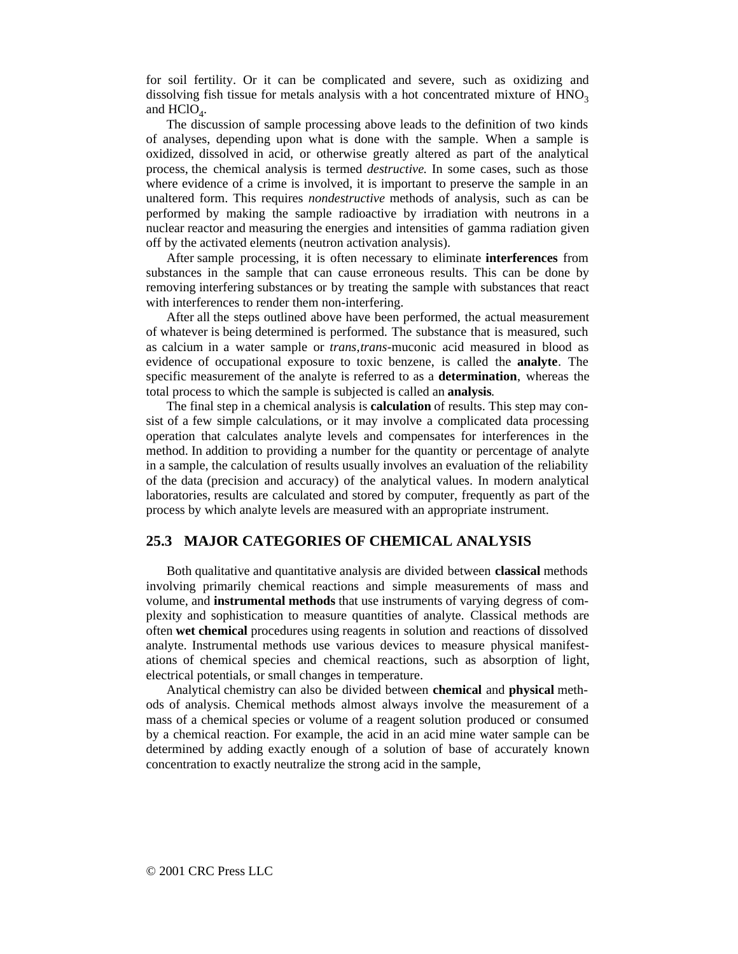for soil fertility. Or it can be complicated and severe, such as oxidizing and dissolving fish tissue for metals analysis with a hot concentrated mixture of  $HNO<sub>3</sub>$ and  $HClO<sub>4</sub>$ .

The discussion of sample processing above leads to the definition of two kinds of analyses, depending upon what is done with the sample. When a sample is oxidized, dissolved in acid, or otherwise greatly altered as part of the analytical process, the chemical analysis is termed *destructive*. In some cases, such as those where evidence of a crime is involved, it is important to preserve the sample in an unaltered form. This requires *nondestructive* methods of analysis, such as can be performed by making the sample radioactive by irradiation with neutrons in a nuclear reactor and measuring the energies and intensities of gamma radiation given off by the activated elements (neutron activation analysis).

After sample processing, it is often necessary to eliminate **interferences** from substances in the sample that can cause erroneous results. This can be done by removing interfering substances or by treating the sample with substances that react with interferences to render them non-interfering.

After all the steps outlined above have been performed, the actual measurement of whatever is being determined is performed. The substance that is measured, such as calcium in a water sample or *trans*,*trans*-muconic acid measured in blood as evidence of occupational exposure to toxic benzene, is called the **analyte**. The specific measurement of the analyte is referred to as a **determination**, whereas the total process to which the sample is subjected is called an **analysis**.

The final step in a chemical analysis is **calculation** of results. This step may consist of a few simple calculations, or it may involve a complicated data processing operation that calculates analyte levels and compensates for interferences in the method. In addition to providing a number for the quantity or percentage of analyte in a sample, the calculation of results usually involves an evaluation of the reliability of the data (precision and accuracy) of the analytical values. In modern analytical laboratories, results are calculated and stored by computer, frequently as part of the process by which analyte levels are measured with an appropriate instrument.

#### **25.3 MAJOR CATEGORIES OF CHEMICAL ANALYSIS**

Both qualitative and quantitative analysis are divided between **classical** methods involving primarily chemical reactions and simple measurements of mass and volume, and **instrumental methods** that use instruments of varying degress of complexity and sophistication to measure quantities of analyte. Classical methods are often **wet chemical** procedures using reagents in solution and reactions of dissolved analyte. Instrumental methods use various devices to measure physical manifestations of chemical species and chemical reactions, such as absorption of light, electrical potentials, or small changes in temperature.

Analytical chemistry can also be divided between **chemical** and **physical** methods of analysis. Chemical methods almost always involve the measurement of a mass of a chemical species or volume of a reagent solution produced or consumed by a chemical reaction. For example, the acid in an acid mine water sample can be determined by adding exactly enough of a solution of base of accurately known concentration to exactly neutralize the strong acid in the sample,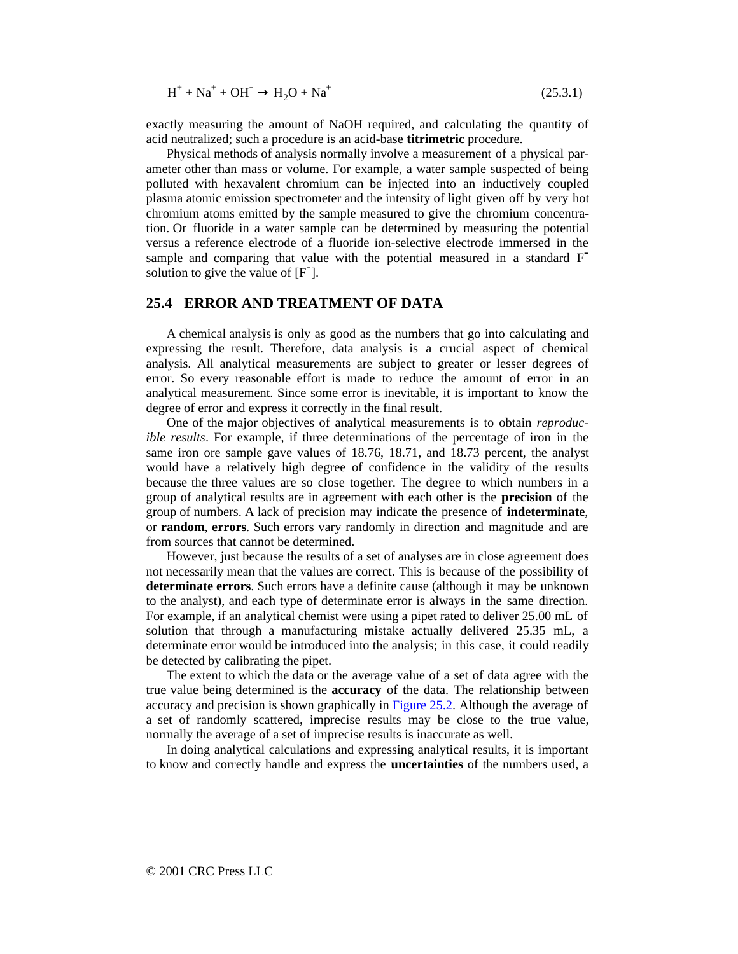$$
H^{+} + Na^{+} + OH^{-} \qquad H_{2}O + Na^{+} \tag{25.3.1}
$$

exactly measuring the amount of NaOH required, and calculating the quantity of acid neutralized; such a procedure is an acid-base **titrimetric** procedure.

Physical methods of analysis normally involve a measurement of a physical parameter other than mass or volume. For example, a water sample suspected of being polluted with hexavalent chromium can be injected into an inductively coupled plasma atomic emission spectrometer and the intensity of light given off by very hot chromium atoms emitted by the sample measured to give the chromium concentration. Or fluoride in a water sample can be determined by measuring the potential versus a reference electrode of a fluoride ion-selective electrode immersed in the sample and comparing that value with the potential measured in a standard F sumple and comparing and value of  $[F^{\dagger}]$ .

#### **25.4 ERROR AND TREATMENT OF DATA**

A chemical analysis is only as good as the numbers that go into calculating and expressing the result. Therefore, data analysis is a crucial aspect of chemical analysis. All analytical measurements are subject to greater or lesser degrees of error. So every reasonable effort is made to reduce the amount of error in an analytical measurement. Since some error is inevitable, it is important to know the degree of error and express it correctly in the final result.

One of the major objectives of analytical measurements is to obtain *reproducible results*. For example, if three determinations of the percentage of iron in the same iron ore sample gave values of 18.76, 18.71, and 18.73 percent, the analyst would have a relatively high degree of confidence in the validity of the results because the three values are so close together. The degree to which numbers in a group of analytical results are in agreement with each other is the **precision** of the group of numbers. A lack of precision may indicate the presence of **indeterminate**, or **random**, **errors**. Such errors vary randomly in direction and magnitude and are from sources that cannot be determined.

However, just because the results of a set of analyses are in close agreement does not necessarily mean that the values are correct. This is because of the possibility of **determinate errors**. Such errors have a definite cause (although it may be unknown to the analyst), and each type of determinate error is always in the same direction. For example, if an analytical chemist were using a pipet rated to deliver 25.00 mL of solution that through a manufacturing mistake actually delivered 25.35 mL, a determinate error would be introduced into the analysis; in this case, it could readily be detected by calibrating the pipet.

The extent to which the data or the average value of a set of data agree with the true value being determined is the **accuracy** of the data. The relationship between accuracy and precision is shown graphically i[n Figure](#page-5-0) 25.2. Although the average of a set of randomly scattered, imprecise results may be close to the true value, normally the average of a set of imprecise results is inaccurate as well.

In doing analytical calculations and expressing analytical results, it is important to know and correctly handle and express the **uncertainties** of the numbers used, a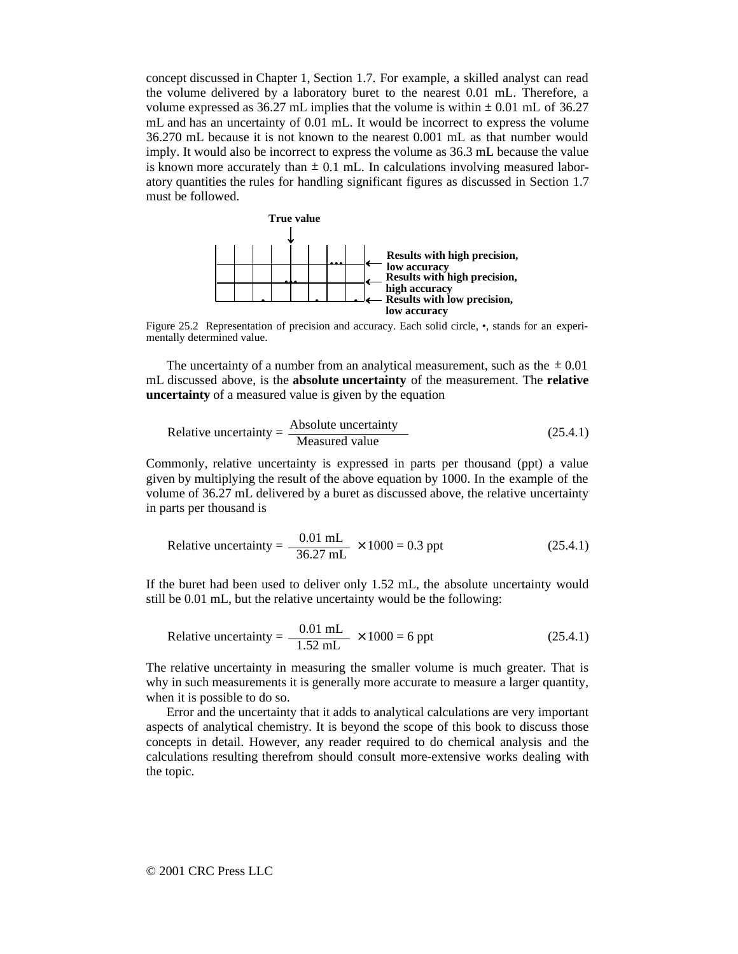<span id="page-5-0"></span>concept discussed in Chapter 1, Section 1.7. For example, a skilled analyst can read the volume delivered by a laboratory buret to the nearest 0.01 mL. Therefore, a volume expressed as  $36.27$  mL implies that the volume is within  $\pm 0.01$  mL of  $36.27$ mL and has an uncertainty of 0.01 mL. It would be incorrect to express the volume 36.270 mL because it is not known to the nearest 0.001 mL as that number would imply. It would also be incorrect to express the volume as 36.3 mL because the value is known more accurately than  $\pm$  0.1 mL. In calculations involving measured laboratory quantities the rules for handling significant figures as discussed in Section 1.7 must be followed.



Figure 25.2 Representation of precision and accuracy. Each solid circle, •, stands for an experimentally determined value.

The uncertainty of a number from an analytical measurement, such as the  $\pm 0.01$ mL discussed above, is the **absolute uncertainty** of the measurement. The **relative uncertainty** of a measured value is given by the equation

Relative uncertainty = 
$$
\frac{\text{Absolute uncertainty}}{\text{Measured value}}
$$
 (25.4.1)

Commonly, relative uncertainty is expressed in parts per thousand (ppt) a value given by multiplying the result of the above equation by 1000. In the example of the volume of 36.27 mL delivered by a buret as discussed above, the relative uncertainty in parts per thousand is

Relative uncertainty = 
$$
\frac{0.01 \text{ mL}}{36.27 \text{ mL}} \times 1000 = 0.3 \text{ pb}
$$
 (25.4.1)

If the buret had been used to deliver only 1.52 mL, the absolute uncertainty would still be 0.01 mL, but the relative uncertainty would be the following:

Relative uncertainty = 
$$
\frac{0.01 \text{ mL}}{1.52 \text{ mL}} \times 1000 = 6 \text{ ppt}
$$
 (25.4.1)

The relative uncertainty in measuring the smaller volume is much greater. That is why in such measurements it is generally more accurate to measure a larger quantity, when it is possible to do so.

Error and the uncertainty that it adds to analytical calculations are very important aspects of analytical chemistry. It is beyond the scope of this book to discuss those concepts in detail. However, any reader required to do chemical analysis and the calculations resulting therefrom should consult more-extensive works dealing with the topic.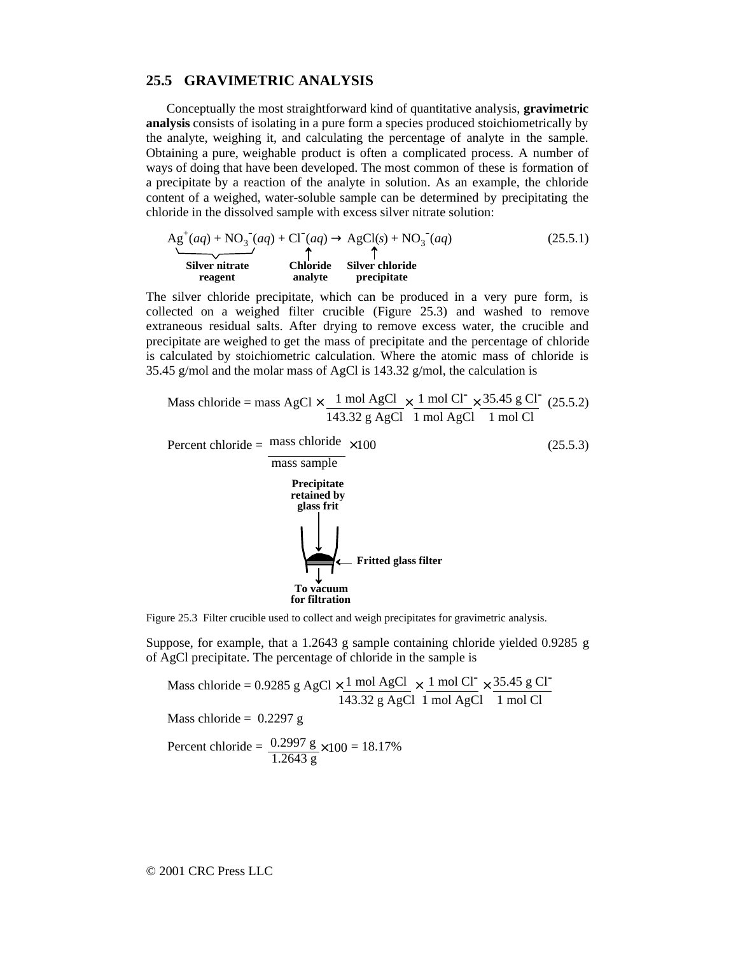#### **25.5 GRAVIMETRIC ANALYSIS**

Conceptually the most straightforward kind of quantitative analysis, **gravimetric analysis** consists of isolating in a pure form a species produced stoichiometrically by the analyte, weighing it, and calculating the percentage of analyte in the sample. Obtaining a pure, weighable product is often a complicated process. A number of ways of doing that have been developed. The most common of these is formation of a precipitate by a reaction of the analyte in solution. As an example, the chloride content of a weighed, water-soluble sample can be determined by precipitating the chloride in the dissolved sample with excess silver nitrate solution:

$$
Ag^{+}(aq) + NO_{3}(aq) + Cl^{-(aq)} \qquad AgCl(s) + NO_{3}(aq)
$$
\n(Silver nitrate\n
$$
G[Q5.5.1]
$$
\nSilver nitrate\n
$$
G[Q5.5.1]
$$
\nSilver nitrate\n
$$
G[Q5.5.1]
$$
\nSolver chloride\n
$$
G[Q5.5.1]
$$

The silver chloride precipitate, which can be produced in a very pure form, is collected on a weighed filter crucible (Figure 25.3) and washed to remove extraneous residual salts. After drying to remove excess water, the crucible and precipitate are weighed to get the mass of precipitate and the percentage of chloride is calculated by stoichiometric calculation. Where the atomic mass of chloride is 35.45 g/mol and the molar mass of AgCl is 143.32 g/mol, the calculation is

Mass chloride = mass AgCl × 
$$
\frac{1 \text{ mol AgCl}}{143.32 \text{ g AgCl}} \times \frac{1 \text{ mol Cl}}{1 \text{ mol AgCl}} \times \frac{35.45 \text{ g Cl}}{1 \text{ mol Cl}}
$$
 (25.5.2)  
\nPercent chloride =  $\frac{\text{mass chloride}}{\text{mass sample}} \times 100$  (25.5.3)  
\n**Precipitate**  
\n**retained by glass frit**  
\n  
\n**Fritted glass filter**  
\nTo vacuum for filtration

Figure 25.3 Filter crucible used to collect and weigh precipitates for gravimetric analysis.

Suppose, for example, that a 1.2643 g sample containing chloride yielded 0.9285 g of AgCl precipitate. The percentage of chloride in the sample is

Mass chloride = 0.9285 g AgCl × 
$$
\frac{1 \text{ mol AgCl}}{143.32 \text{ g AgCl}} \times \frac{1 \text{ mol Cl}}{1 \text{ mol AgCl}} \times \frac{35.45 \text{ g Cl}}{1 \text{ mol Cl}}
$$
  
Mass chloride = 0.2297 g  
Percent chloride =  $\frac{0.2997 \text{ g}}{1.2643 \text{ g}} \times 100 = 18.17\%$ 

© 2001 CRC Press LLC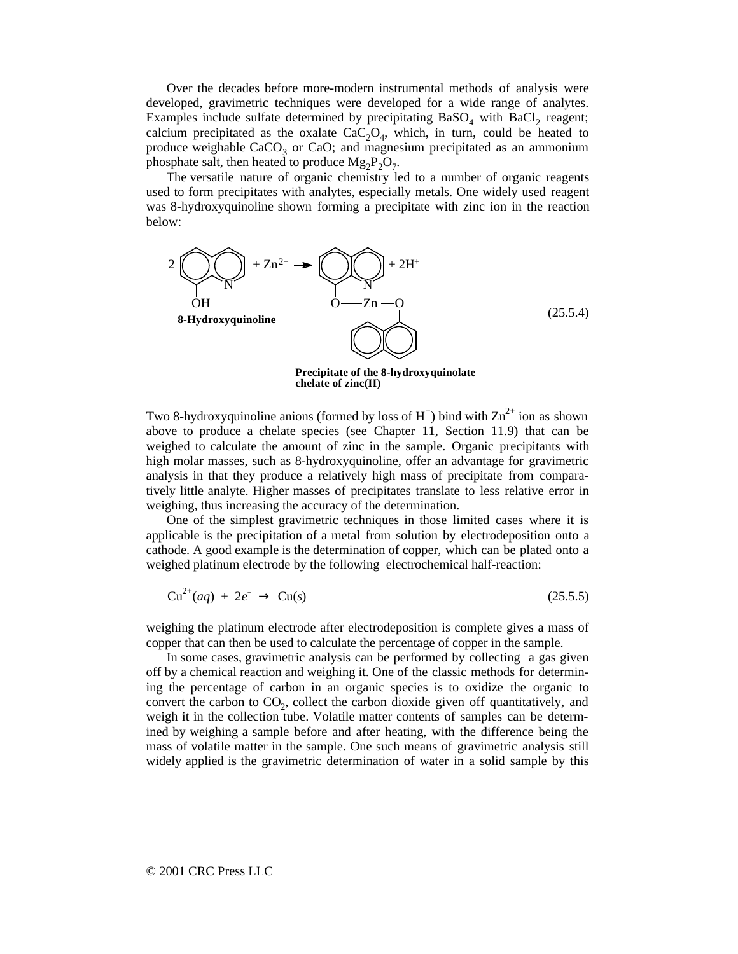Over the decades before more-modern instrumental methods of analysis were developed, gravimetric techniques were developed for a wide range of analytes. Examples include sulfate determined by precipitating  $BaSO<sub>4</sub>$  with  $BaCl<sub>2</sub>$  reagent; calcium precipitated as the oxalate  $CaC<sub>2</sub>O<sub>4</sub>$ , which, in turn, could be heated to produce weighable  $CaCO<sub>3</sub>$  or CaO; and magnesium precipitated as an ammonium phosphate salt, then heated to produce  $Mg_2P_2O_7$ .

The versatile nature of organic chemistry led to a number of organic reagents used to form precipitates with analytes, especially metals. One widely used reagent was 8-hydroxyquinoline shown forming a precipitate with zinc ion in the reaction below:



**chelate of zinc(II)**

Two 8-hydroxyquinoline anions (formed by loss of  $H^+$ ) bind with  $\text{Zn}^{2+}$  ion as shown above to produce a chelate species (see Chapter 11, Section 11.9) that can be weighed to calculate the amount of zinc in the sample. Organic precipitants with high molar masses, such as 8-hydroxyquinoline, offer an advantage for gravimetric analysis in that they produce a relatively high mass of precipitate from comparatively little analyte. Higher masses of precipitates translate to less relative error in weighing, thus increasing the accuracy of the determination.

One of the simplest gravimetric techniques in those limited cases where it is applicable is the precipitation of a metal from solution by electrodeposition onto a cathode. A good example is the determination of copper, which can be plated onto a weighed platinum electrode by the following electrochemical half-reaction:

$$
Cu^{2+}(aq) + 2e^- \t Cu(s) \t (25.5.5)
$$

weighing the platinum electrode after electrodeposition is complete gives a mass of copper that can then be used to calculate the percentage of copper in the sample.

In some cases, gravimetric analysis can be performed by collecting a gas given off by a chemical reaction and weighing it. One of the classic methods for determining the percentage of carbon in an organic species is to oxidize the organic to convert the carbon to  $CO_2$ , collect the carbon dioxide given off quantitatively, and weigh it in the collection tube. Volatile matter contents of samples can be determined by weighing a sample before and after heating, with the difference being the mass of volatile matter in the sample. One such means of gravimetric analysis still widely applied is the gravimetric determination of water in a solid sample by this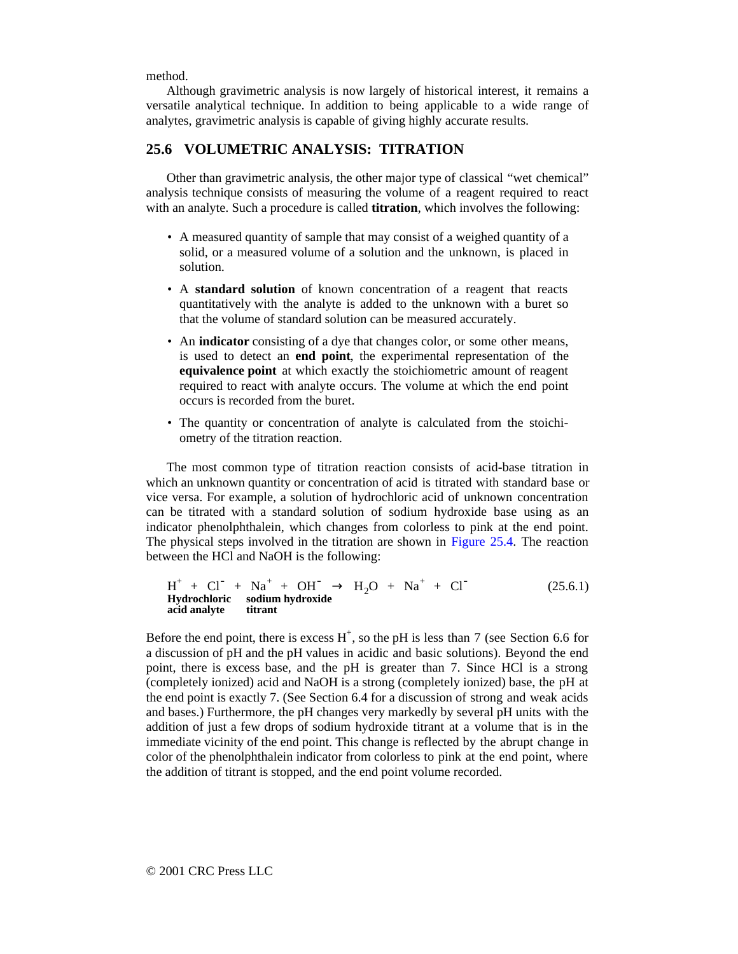method.

Although gravimetric analysis is now largely of historical interest, it remains a versatile analytical technique. In addition to being applicable to a wide range of analytes, gravimetric analysis is capable of giving highly accurate results.

### **25.6 VOLUMETRIC ANALYSIS: TITRATION**

Other than gravimetric analysis, the other major type of classical "wet chemical" analysis technique consists of measuring the volume of a reagent required to react with an analyte. Such a procedure is called **titration**, which involves the following:

- A measured quantity of sample that may consist of a weighed quantity of a solid, or a measured volume of a solution and the unknown, is placed in solution.
- A **standard solution** of known concentration of a reagent that reacts quantitatively with the analyte is added to the unknown with a buret so that the volume of standard solution can be measured accurately.
- An **indicator** consisting of a dye that changes color, or some other means, is used to detect an **end point**, the experimental representation of the **equivalence point** at which exactly the stoichiometric amount of reagent required to react with analyte occurs. The volume at which the end point occurs is recorded from the buret.
- The quantity or concentration of analyte is calculated from the stoichiometry of the titration reaction.

The most common type of titration reaction consists of acid-base titration in which an unknown quantity or concentration of acid is titrated with standard base or vice versa. For example, a solution of hydrochloric acid of unknown concentration can be titrated with a standard solution of sodium hydroxide base using as an indicator phenolphthalein, which changes from colorless to pink at the end point. The physical steps involved in the titration are shown i[n Figure](#page-9-0) 25.4. The reaction between the HCl and NaOH is the following:

$$
H^{+} + Cl^{-} + Na^{+} + OH^{-} \tH_{2}O + Na^{+} + Cl^{-}
$$
  
\nHydrochloric sodium hydroxide  
\nacid analytic  
\ntitrant (25.6.1)

Before the end point, there is excess  $H^+$ , so the pH is less than 7 (see Section 6.6 for a discussion of pH and the pH values in acidic and basic solutions). Beyond the end point, there is excess base, and the pH is greater than 7. Since HCl is a strong (completely ionized) acid and NaOH is a strong (completely ionized) base, the pH at the end point is exactly 7. (See Section 6.4 for a discussion of strong and weak acids and bases.) Furthermore, the pH changes very markedly by several pH units with the addition of just a few drops of sodium hydroxide titrant at a volume that is in the immediate vicinity of the end point. This change is reflected by the abrupt change in color of the phenolphthalein indicator from colorless to pink at the end point, where the addition of titrant is stopped, and the end point volume recorded.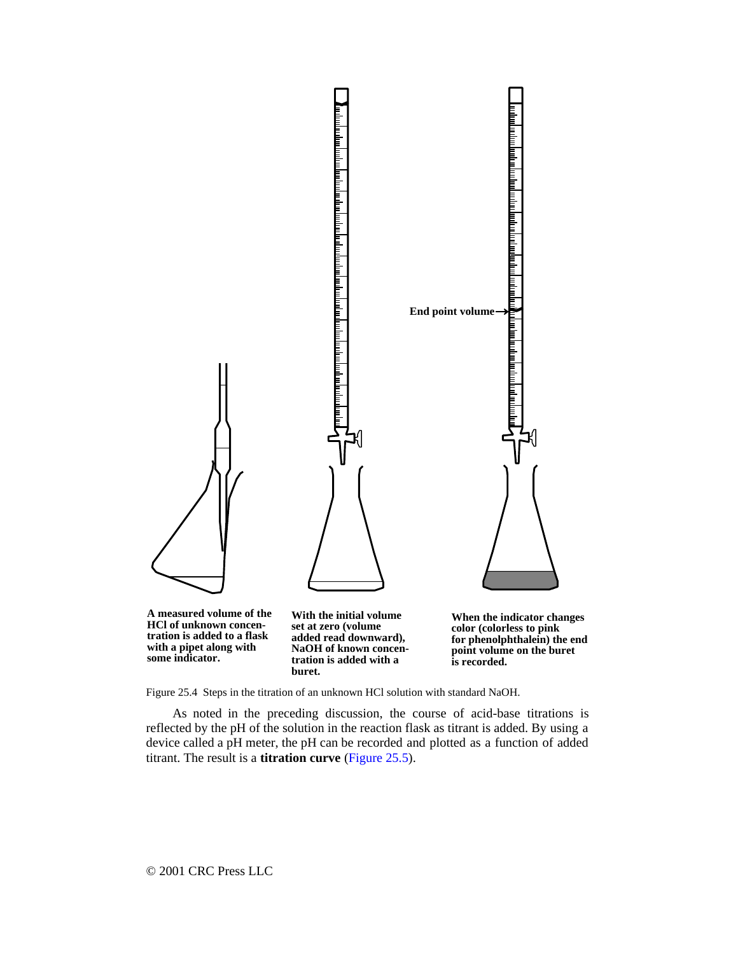<span id="page-9-0"></span>

Figure 25.4 Steps in the titration of an unknown HCl solution with standard NaOH.

 As noted in the preceding discussion, the course of acid-base titrations is reflected by the pH of the solution in the reaction flask as titrant is added. By using a device called a pH meter, the pH can be recorded and plotted as a function of added titrant. The result is a **titration curve** [\(Figure](#page-10-0) 25.5).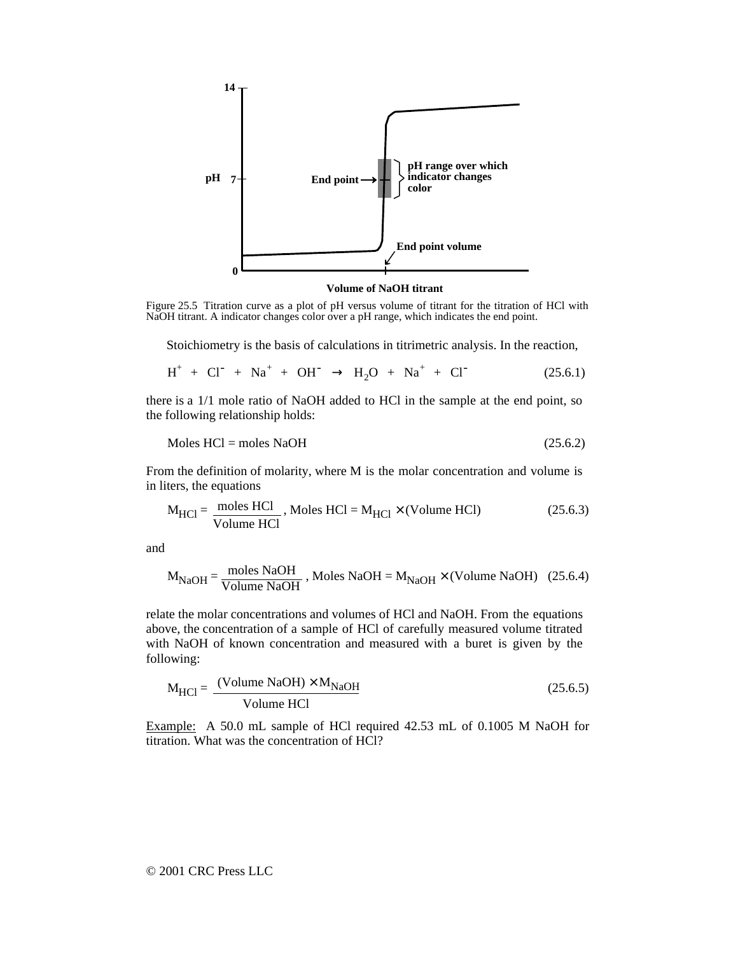<span id="page-10-0"></span>

#### **Volume of NaOH titrant**

Figure 25.5 Titration curve as a plot of pH versus volume of titrant for the titration of HCl with NaOH titrant. A indicator changes color over a pH range, which indicates the end point.

Stoichiometry is the basis of calculations in titrimetric analysis. In the reaction,

$$
H^{+} + Cl^{-} + Na^{+} + OH^{-}
$$
  $H_2O + Na^{+} + Cl^{-}$  (25.6.1)

there is a 1/1 mole ratio of NaOH added to HCl in the sample at the end point, so the following relationship holds:

$$
Moles HCl = moles NaOH
$$
 (25.6.2)

From the definition of molarity, where M is the molar concentration and volume is in liters, the equations

$$
M_{\text{HCl}} = \frac{\text{moles HCl}}{\text{Volume HCl}}, \text{Moles HCl} = M_{\text{HCl}} \times (\text{Volume HCl}) \tag{25.6.3}
$$

and

$$
M_{NaOH} = \frac{\text{moles NaOH}}{\text{Volume NaOH}}
$$
, Moles NaOH = M<sub>NaOH</sub> × (Volume NaOH) (25.6.4)

relate the molar concentrations and volumes of HCl and NaOH. From the equations above, the concentration of a sample of HCl of carefully measured volume titrated with NaOH of known concentration and measured with a buret is given by the following:

$$
M_{\text{HCI}} = \frac{\text{(Volume NaOH)} \times M_{\text{NaOH}}}{\text{Volume HCl}} \tag{25.6.5}
$$

Example: A 50.0 mL sample of HCl required 42.53 mL of 0.1005 M NaOH for titration. What was the concentration of HCl?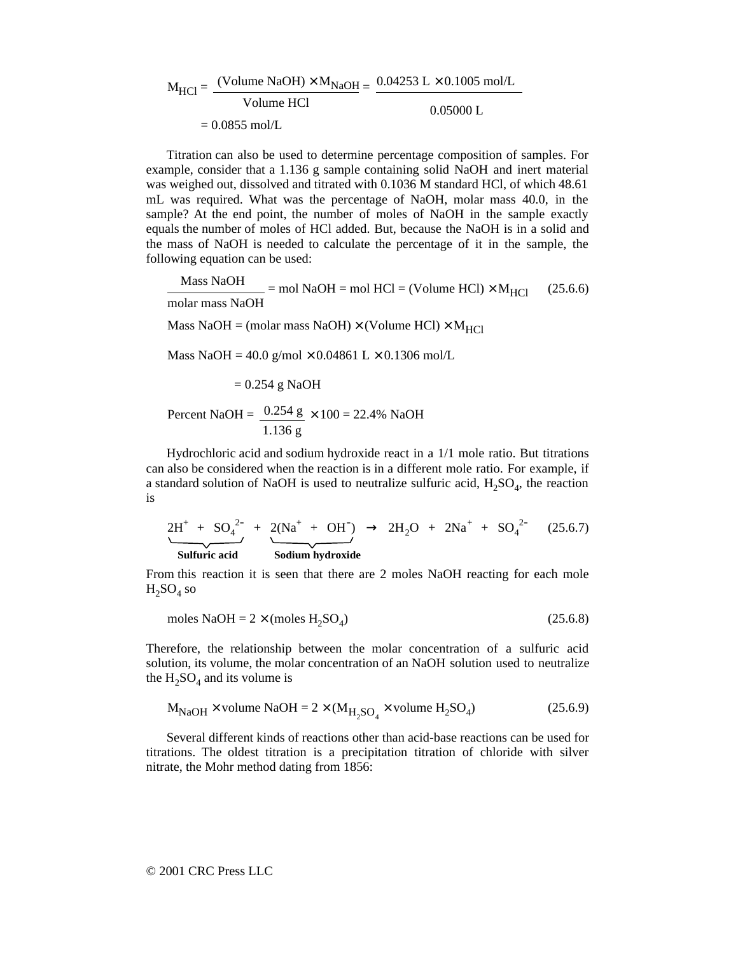$$
M_{\text{HCl}} = \frac{(\text{Volume NaOH}) \times M_{\text{NaOH}}}{\text{Volume HCl}} = \frac{0.04253 \text{ L} \times 0.1005 \text{ mol/L}}{0.05000 \text{ L}}
$$

$$
= 0.0855 \text{ mol/L}
$$

Titration can also be used to determine percentage composition of samples. For example, consider that a 1.136 g sample containing solid NaOH and inert material was weighed out, dissolved and titrated with 0.1036 M standard HCl, of which 48.61 mL was required. What was the percentage of NaOH, molar mass 40.0, in the sample? At the end point, the number of moles of NaOH in the sample exactly equals the number of moles of HCl added. But, because the NaOH is in a solid and the mass of NaOH is needed to calculate the percentage of it in the sample, the following equation can be used:

 $\overline{a}$  $\frac{\text{Mass NaOH}}{\text{_{}}}$  = mol NaOH = mol HCl = (Volume HCl) × M<sub>HCl</sub> (25.6.6) molar mass NaOH

Mass NaOH = (molar mass NaOH)  $\times$  (Volume HCl)  $\times$  M<sub>HCl</sub>

Mass NaOH = 40.0 g/mol  $\times$  0.04861 L  $\times$  0.1306 mol/L

 $= 0.254$  g NaOH

Percent NaOH = 
$$
\frac{0.254 \text{ g}}{1.136 \text{ g}} \times 100 = 22.4\%
$$
 NaOH

Hydrochloric acid and sodium hydroxide react in a 1/1 mole ratio. But titrations can also be considered when the reaction is in a different mole ratio. For example, if a standard solution of NaOH is used to neutralize sulfuric acid,  $H_2SO_4$ , the reaction is

$$
2H^{+} + SO_{4}^{2-} + 2(Na^{+} + OH^{-})
$$
\n
$$
2H_{2}O + 2Na^{+} + SO_{4}^{2-} \quad (25.6.7)
$$
\n
$$
Sulfuric acid
$$
\nSodium hydroxide

From this reaction it is seen that there are 2 moles NaOH reacting for each mole  $H<sub>2</sub>SO<sub>4</sub>$  so

$$
moles NaOH = 2 \times (moles H2SO4)
$$
\n(25.6.8)

Therefore, the relationship between the molar concentration of a sulfuric acid solution, its volume, the molar concentration of an NaOH solution used to neutralize the  $H_2SO_4$  and its volume is

$$
M_{NaOH} \times \text{volume NaOH} = 2 \times (M_{H_2SO_4} \times \text{volume H}_2SO_4) \tag{25.6.9}
$$

Several different kinds of reactions other than acid-base reactions can be used for titrations. The oldest titration is a precipitation titration of chloride with silver nitrate, the Mohr method dating from 1856: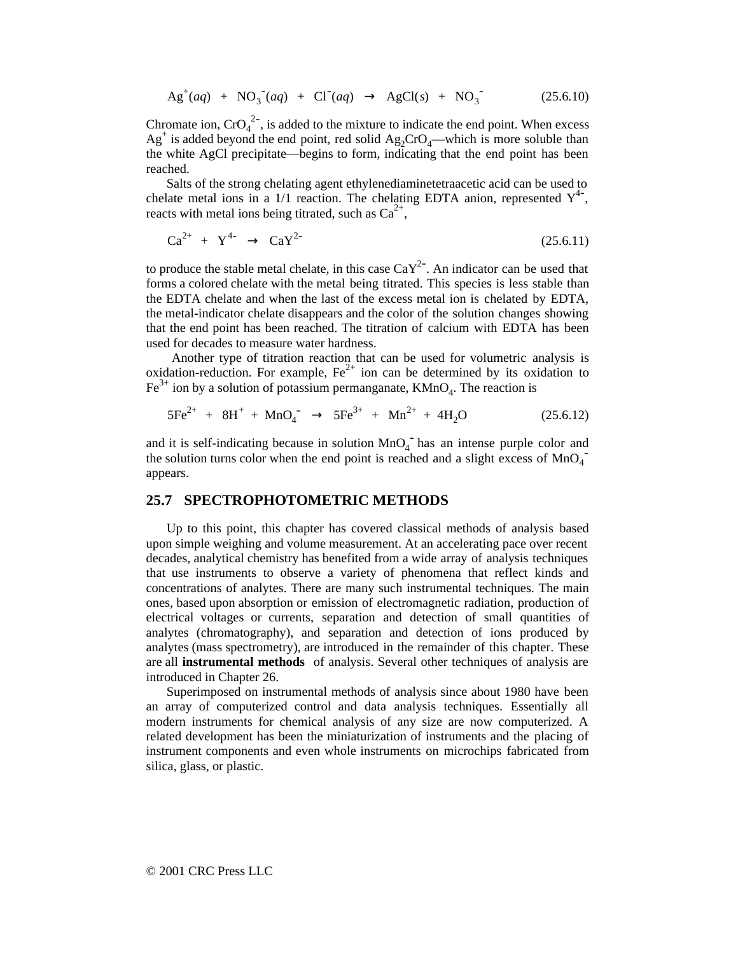$$
Ag^{+}(aq) + NO_3^{-}(aq) + Cl^{-}(aq) \qquad AgCl(s) + NO_3^{-} \qquad (25.6.10)
$$

Chromate ion,  $\text{CrO}_4^{2-}$ , is added to the mixture to indicate the end point. When excess  $Ag<sup>+</sup>$  is added beyond the end point, red solid  $Ag_2CrO_4$ —which is more soluble than the white AgCl precipitate—begins to form, indicating that the end point has been reached.

Salts of the strong chelating agent ethylenediaminetetraacetic acid can be used to chelate metal ions in a  $1/1$  reaction. The chelating EDTA anion, represented  $Y^{4-}$ , reacts with metal ions being titrated, such as  $Ca^{2+}$ ,

$$
Ca^{2+} + Y^{4-} \t CaY^{2-} \t (25.6.11)
$$

to produce the stable metal chelate, in this case  $CaY^2$ . An indicator can be used that forms a colored chelate with the metal being titrated. This species is less stable than the EDTA chelate and when the last of the excess metal ion is chelated by EDTA, the metal-indicator chelate disappears and the color of the solution changes showing that the end point has been reached. The titration of calcium with EDTA has been used for decades to measure water hardness.

 Another type of titration reaction that can be used for volumetric analysis is oxidation-reduction. For example,  $Fe^{2+}$  ion can be determined by its oxidation to  $\text{Fe}^{3+}$  ion by a solution of potassium permanganate, KMnO<sub>4</sub>. The reaction is

$$
5Fe^{2+} + 8H^{+} + MnO_{4}^{-} \t 5Fe^{3+} + Mn^{2+} + 4H_{2}O \t (25.6.12)
$$

and it is self-indicating because in solution  $MnO<sub>4</sub>$ <sup>-</sup> has an intense purple color and the solution turns color when the end point is reached and a slight excess of  $MnO<sub>4</sub>$ . appears.

#### **25.7 SPECTROPHOTOMETRIC METHODS**

Up to this point, this chapter has covered classical methods of analysis based upon simple weighing and volume measurement. At an accelerating pace over recent decades, analytical chemistry has benefited from a wide array of analysis techniques that use instruments to observe a variety of phenomena that reflect kinds and concentrations of analytes. There are many such instrumental techniques. The main ones, based upon absorption or emission of electromagnetic radiation, production of electrical voltages or currents, separation and detection of small quantities of analytes (chromatography), and separation and detection of ions produced by analytes (mass spectrometry), are introduced in the remainder of this chapter. These are all **instrumental methods** of analysis. Several other techniques of analysis are introduced in Chapter 26.

Superimposed on instrumental methods of analysis since about 1980 have been an array of computerized control and data analysis techniques. Essentially all modern instruments for chemical analysis of any size are now computerized. A related development has been the miniaturization of instruments and the placing of instrument components and even whole instruments on microchips fabricated from silica, glass, or plastic.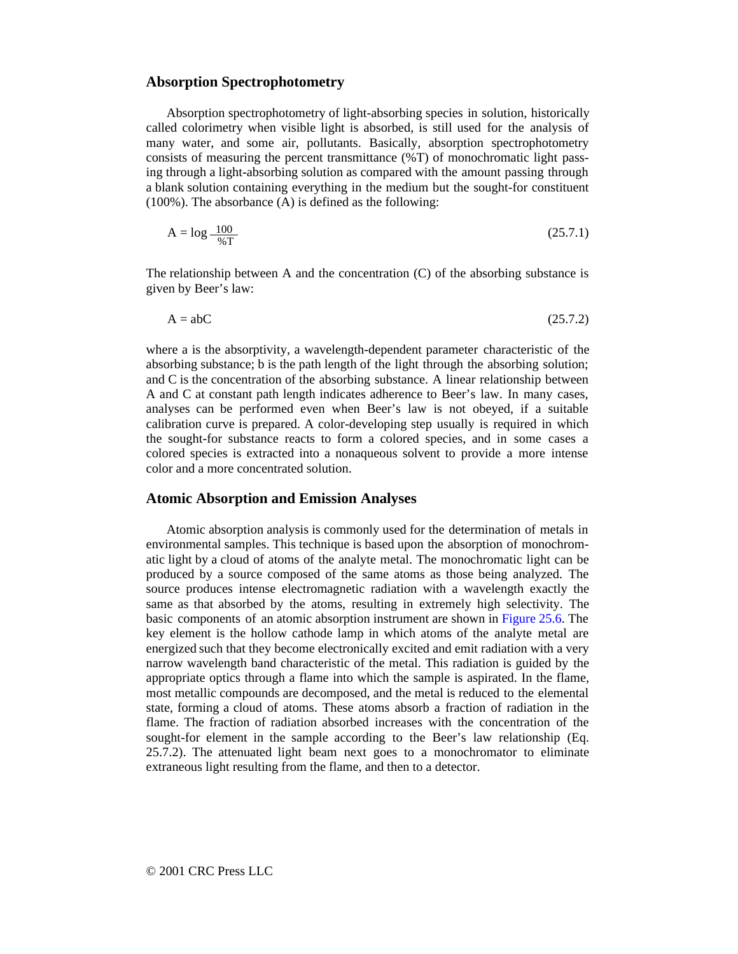#### **Absorption Spectrophotometry**

Absorption spectrophotometry of light-absorbing species in solution, historically called colorimetry when visible light is absorbed, is still used for the analysis of many water, and some air, pollutants. Basically, absorption spectrophotometry consists of measuring the percent transmittance (%T) of monochromatic light passing through a light-absorbing solution as compared with the amount passing through a blank solution containing everything in the medium but the sought-for constituent (100%). The absorbance (A) is defined as the following:

$$
A = \log \frac{100}{\%T}
$$
 (25.7.1)

The relationship between A and the concentration (C) of the absorbing substance is given by Beer's law:

$$
A = abC \tag{25.7.2}
$$

where a is the absorptivity, a wavelength-dependent parameter characteristic of the absorbing substance; b is the path length of the light through the absorbing solution; and C is the concentration of the absorbing substance. A linear relationship between A and C at constant path length indicates adherence to Beer's law. In many cases, analyses can be performed even when Beer's law is not obeyed, if a suitable calibration curve is prepared. A color-developing step usually is required in which the sought-for substance reacts to form a colored species, and in some cases a colored species is extracted into a nonaqueous solvent to provide a more intense color and a more concentrated solution.

#### **Atomic Absorption and Emission Analyses**

Atomic absorption analysis is commonly used for the determination of metals in environmental samples. This technique is based upon the absorption of monochromatic light by a cloud of atoms of the analyte metal. The monochromatic light can be produced by a source composed of the same atoms as those being analyzed. The source produces intense electromagnetic radiation with a wavelength exactly the same as that absorbed by the atoms, resulting in extremely high selectivity. The basic components of an atomic absorption instrument are shown i[n Figure](#page-14-0) 25.6. The key element is the hollow cathode lamp in which atoms of the analyte metal are energized such that they become electronically excited and emit radiation with a very narrow wavelength band characteristic of the metal. This radiation is guided by the appropriate optics through a flame into which the sample is aspirated. In the flame, most metallic compounds are decomposed, and the metal is reduced to the elemental state, forming a cloud of atoms. These atoms absorb a fraction of radiation in the flame. The fraction of radiation absorbed increases with the concentration of the sought-for element in the sample according to the Beer's law relationship (Eq. 25.7.2). The attenuated light beam next goes to a monochromator to eliminate extraneous light resulting from the flame, and then to a detector.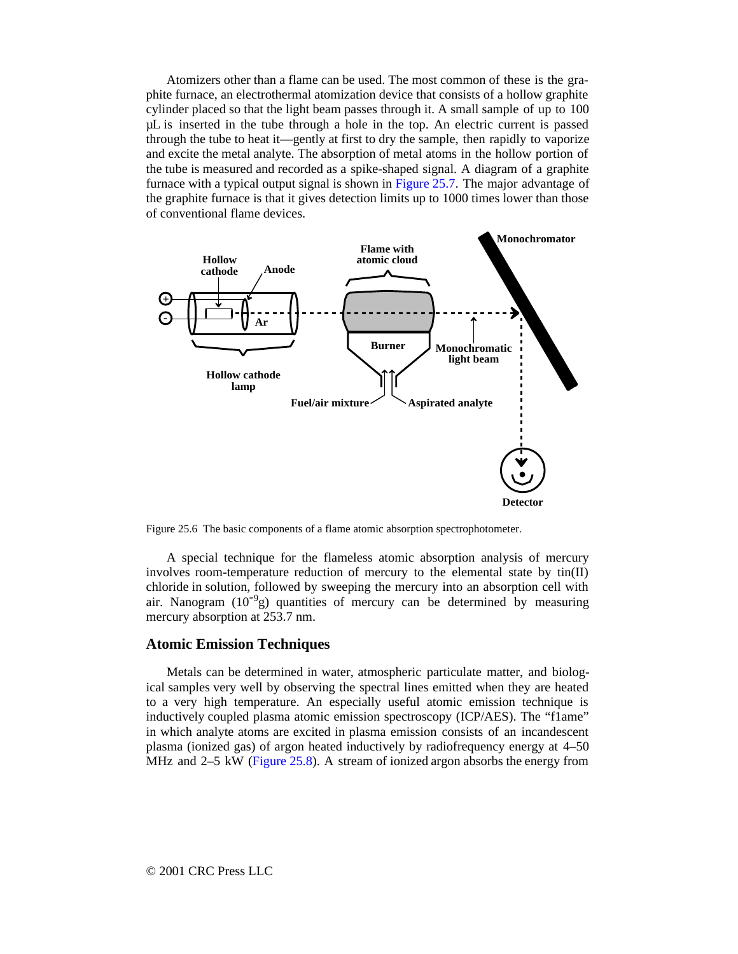<span id="page-14-0"></span>Atomizers other than a flame can be used. The most common of these is the graphite furnace, an electrothermal atomization device that consists of a hollow graphite cylinder placed so that the light beam passes through it. A small sample of up to 100 µL is inserted in the tube through a hole in the top. An electric current is passed through the tube to heat it—gently at first to dry the sample, then rapidly to vaporize and excite the metal analyte. The absorption of metal atoms in the hollow portion of the tube is measured and recorded as a spike-shaped signal. A diagram of a graphite furnace with a typical output signal is shown in [Figure](#page-15-0) 25.7. The major advantage of the graphite furnace is that it gives detection limits up to 1000 times lower than those of conventional flame devices.



Figure 25.6 The basic components of a flame atomic absorption spectrophotometer.

A special technique for the flameless atomic absorption analysis of mercury involves room-temperature reduction of mercury to the elemental state by tin(II) chloride in solution, followed by sweeping the mercury into an absorption cell with air. Nanogram  $(10^{-9}g)$  quantities of mercury can be determined by measuring mercury absorption at 253.7 nm.

#### **Atomic Emission Techniques**

Metals can be determined in water, atmospheric particulate matter, and biological samples very well by observing the spectral lines emitted when they are heated to a very high temperature. An especially useful atomic emission technique is inductively coupled plasma atomic emission spectroscopy (ICP/AES). The "f1ame" in which analyte atoms are excited in plasma emission consists of an incandescent plasma (ionized gas) of argon heated inductively by radiofrequency energy at 4–50 MHz and 2–5 kW [\(Figure](#page-15-0) 25.8). A stream of ionized argon absorbs the energy from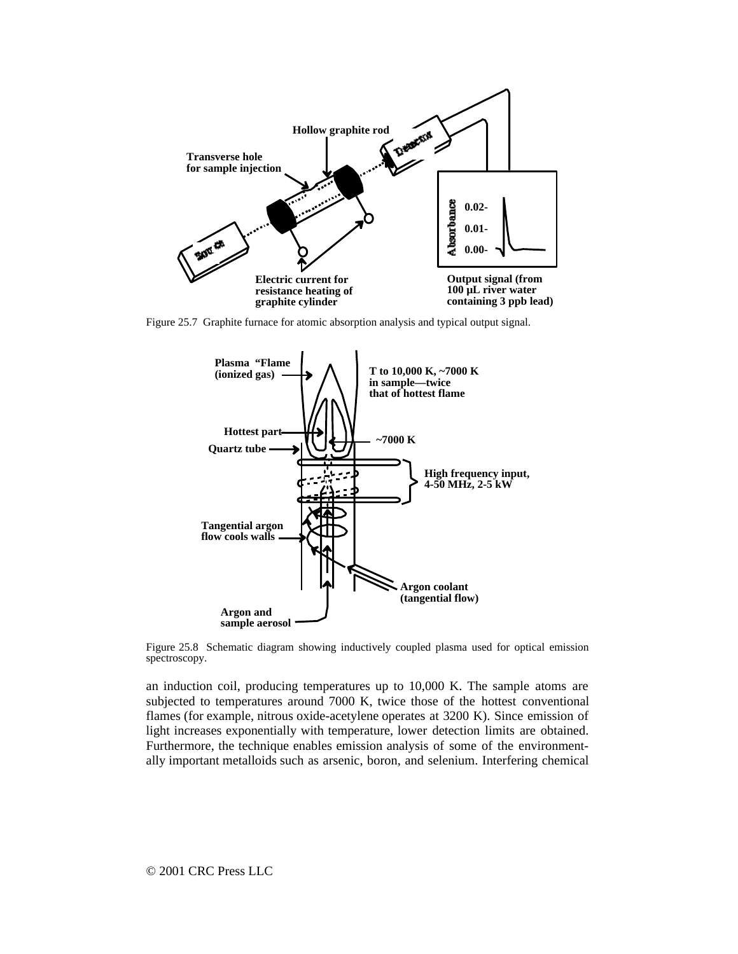<span id="page-15-0"></span>

Figure 25.7 Graphite furnace for atomic absorption analysis and typical output signal.



Figure 25.8 Schematic diagram showing inductively coupled plasma used for optical emission spectroscopy.

an induction coil, producing temperatures up to 10,000 K. The sample atoms are subjected to temperatures around 7000 K, twice those of the hottest conventional flames (for example, nitrous oxide-acetylene operates at 3200 K). Since emission of light increases exponentially with temperature, lower detection limits are obtained. Furthermore, the technique enables emission analysis of some of the environmentally important metalloids such as arsenic, boron, and selenium. Interfering chemical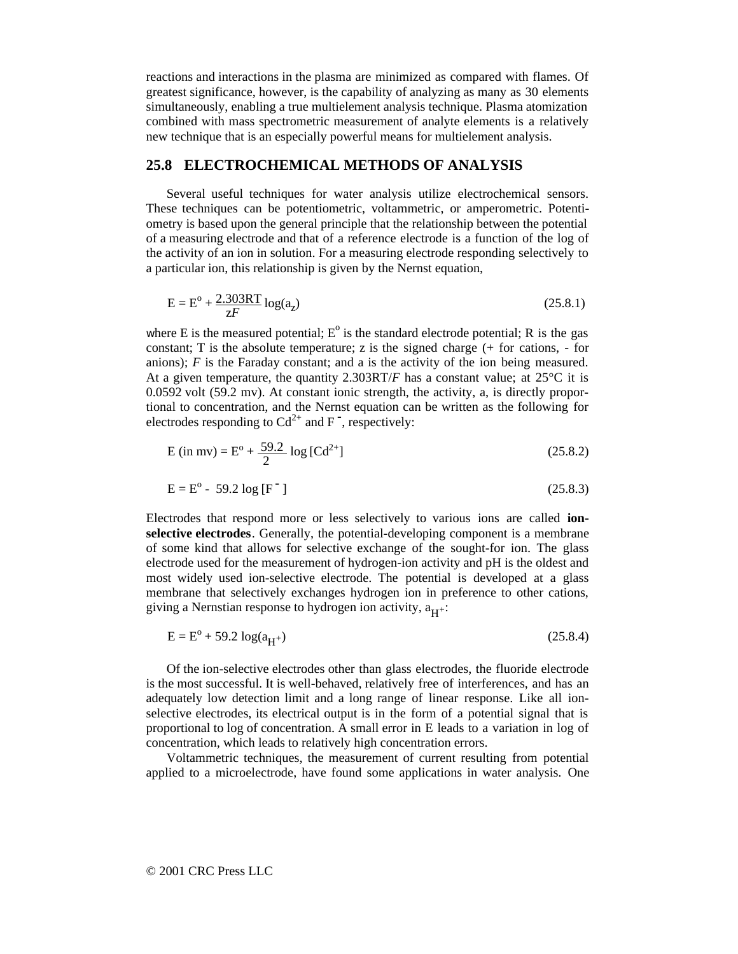reactions and interactions in the plasma are minimized as compared with flames. Of greatest significance, however, is the capability of analyzing as many as 30 elements simultaneously, enabling a true multielement analysis technique. Plasma atomization combined with mass spectrometric measurement of analyte elements is a relatively new technique that is an especially powerful means for multielement analysis.

#### **25.8 ELECTROCHEMICAL METHODS OF ANALYSIS**

Several useful techniques for water analysis utilize electrochemical sensors. These techniques can be potentiometric, voltammetric, or amperometric. Potentiometry is based upon the general principle that the relationship between the potential of a measuring electrode and that of a reference electrode is a function of the log of the activity of an ion in solution. For a measuring electrode responding selectively to a particular ion, this relationship is given by the Nernst equation,

$$
E = E^{o} + \frac{2.303RT}{zF} \log(a_2)
$$
 (25.8.1)

where E is the measured potential;  $E^{\circ}$  is the standard electrode potential; R is the gas constant; T is the absolute temperature; z is the signed charge (+ for cations, - for anions);  $F$  is the Faraday constant; and a is the activity of the ion being measured. At a given temperature, the quantity 2.303RT/*F* has a constant value; at  $25^{\circ}$ C it is 0.0592 volt (59.2 mv). At constant ionic strength, the activity, a, is directly proportional to concentration, and the Nernst equation can be written as the following for electrodes responding to  $Cd^{2+}$  and  $F^-$ , respectively:

$$
E (in mv) = Eo + \frac{59.2}{2} log [Cd2+] \qquad (25.8.2)
$$

$$
E = E^{o} - 59.2 \log [F^{T}]
$$
 (25.8.3)

Electrodes that respond more or less selectively to various ions are called **ionselective electrodes**. Generally, the potential-developing component is a membrane of some kind that allows for selective exchange of the sought-for ion. The glass electrode used for the measurement of hydrogen-ion activity and pH is the oldest and most widely used ion-selective electrode. The potential is developed at a glass membrane that selectively exchanges hydrogen ion in preference to other cations, giving a Nernstian response to hydrogen ion activity,  $a_{H^+}$ :

$$
E = E^{o} + 59.2 \log(a_{H^{+}})
$$
 (25.8.4)

Of the ion-selective electrodes other than glass electrodes, the fluoride electrode is the most successful. It is well-behaved, relatively free of interferences, and has an adequately low detection limit and a long range of linear response. Like all ionselective electrodes, its electrical output is in the form of a potential signal that is proportional to log of concentration. A small error in E leads to a variation in log of concentration, which leads to relatively high concentration errors.

Voltammetric techniques, the measurement of current resulting from potential applied to a microelectrode, have found some applications in water analysis. One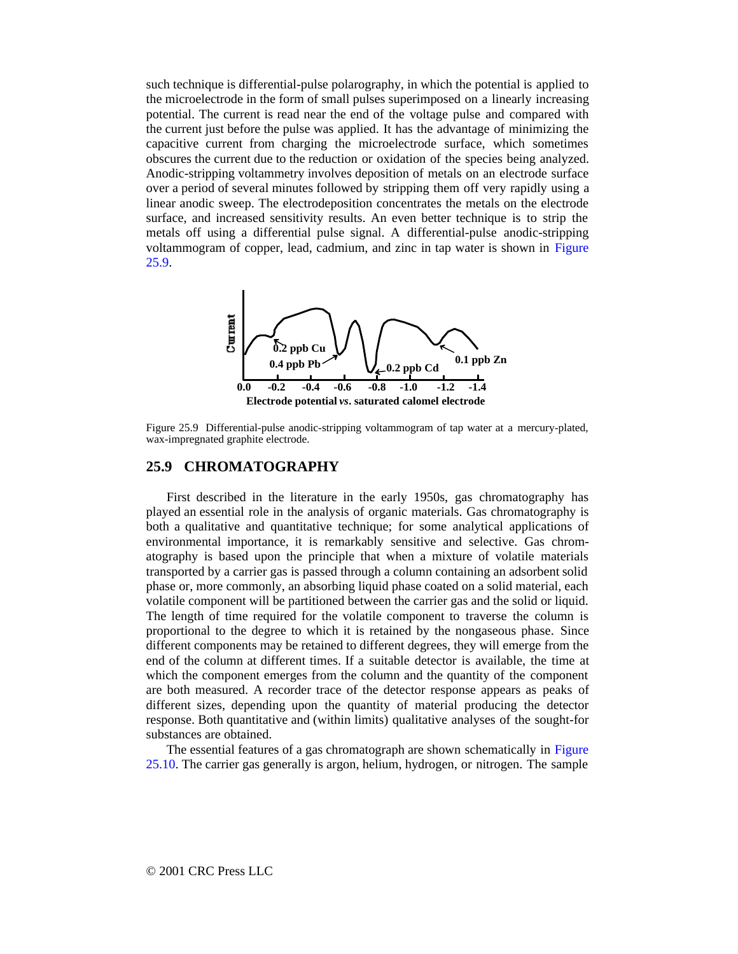such technique is differential-pulse polarography, in which the potential is applied to the microelectrode in the form of small pulses superimposed on a linearly increasing potential. The current is read near the end of the voltage pulse and compared with the current just before the pulse was applied. It has the advantage of minimizing the capacitive current from charging the microelectrode surface, which sometimes obscures the current due to the reduction or oxidation of the species being analyzed. Anodic-stripping voltammetry involves deposition of metals on an electrode surface over a period of several minutes followed by stripping them off very rapidly using a linear anodic sweep. The electrodeposition concentrates the metals on the electrode surface, and increased sensitivity results. An even better technique is to strip the metals off using a differential pulse signal. A differential-pulse anodic-stripping voltammogram of copper, lead, cadmium, and zinc in tap water is shown in Figure 25.9.



Figure 25.9 Differential-pulse anodic-stripping voltammogram of tap water at a mercury-plated, wax-impregnated graphite electrode.

#### **25.9 CHROMATOGRAPHY**

First described in the literature in the early 1950s, gas chromatography has played an essential role in the analysis of organic materials. Gas chromatography is both a qualitative and quantitative technique; for some analytical applications of environmental importance, it is remarkably sensitive and selective. Gas chromatography is based upon the principle that when a mixture of volatile materials transported by a carrier gas is passed through a column containing an adsorbent solid phase or, more commonly, an absorbing liquid phase coated on a solid material, each volatile component will be partitioned between the carrier gas and the solid or liquid. The length of time required for the volatile component to traverse the column is proportional to the degree to which it is retained by the nongaseous phase. Since different components may be retained to different degrees, they will emerge from the end of the column at different times. If a suitable detector is available, the time at which the component emerges from the column and the quantity of the component are both measured. A recorder trace of the detector response appears as peaks of different sizes, depending upon the quantity of material producing the detector response. Both quantitative and (within limits) qualitative analyses of the sought-for substances are obtained.

The essential features of a gas chromatograph are shown schematically in [Figure](#page-18-0) [25.10. T](#page-18-0)he carrier gas generally is argon, helium, hydrogen, or nitrogen. The sample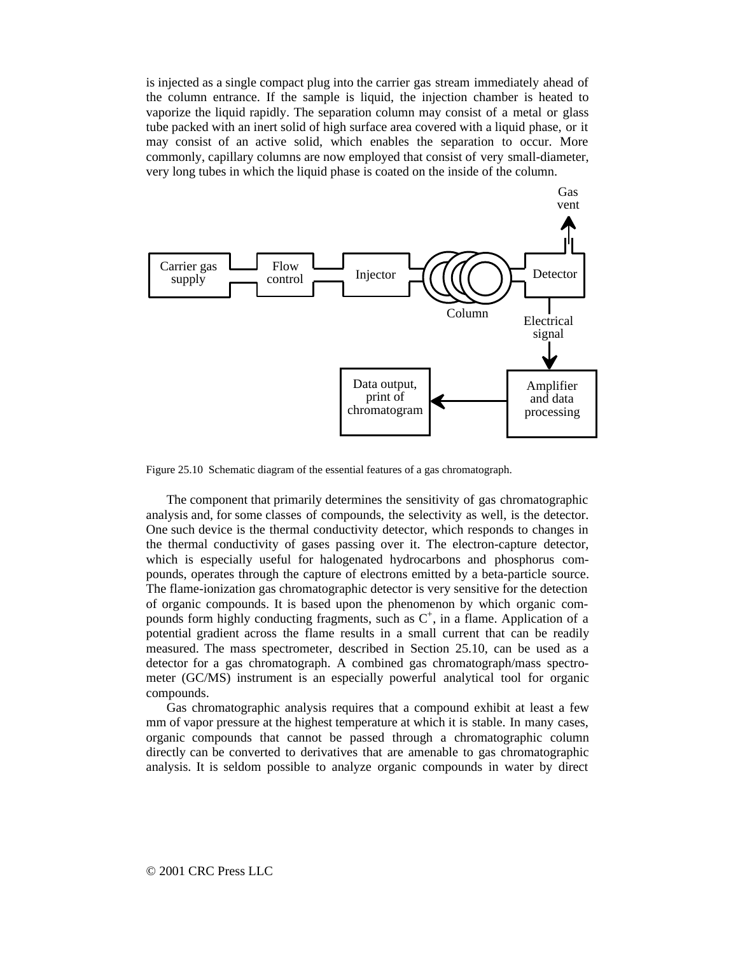<span id="page-18-0"></span>is injected as a single compact plug into the carrier gas stream immediately ahead of the column entrance. If the sample is liquid, the injection chamber is heated to vaporize the liquid rapidly. The separation column may consist of a metal or glass tube packed with an inert solid of high surface area covered with a liquid phase, or it may consist of an active solid, which enables the separation to occur. More commonly, capillary columns are now employed that consist of very small-diameter, very long tubes in which the liquid phase is coated on the inside of the column.



Figure 25.10 Schematic diagram of the essential features of a gas chromatograph.

The component that primarily determines the sensitivity of gas chromatographic analysis and, for some classes of compounds, the selectivity as well, is the detector. One such device is the thermal conductivity detector, which responds to changes in the thermal conductivity of gases passing over it. The electron-capture detector, which is especially useful for halogenated hydrocarbons and phosphorus compounds, operates through the capture of electrons emitted by a beta-particle source. The flame-ionization gas chromatographic detector is very sensitive for the detection of organic compounds. It is based upon the phenomenon by which organic compounds form highly conducting fragments, such as  $C^+$ , in a flame. Application of a potential gradient across the flame results in a small current that can be readily measured. The mass spectrometer, described in Section 25.10, can be used as a detector for a gas chromatograph. A combined gas chromatograph/mass spectrometer (GC/MS) instrument is an especially powerful analytical tool for organic compounds.

Gas chromatographic analysis requires that a compound exhibit at least a few mm of vapor pressure at the highest temperature at which it is stable. In many cases, organic compounds that cannot be passed through a chromatographic column directly can be converted to derivatives that are amenable to gas chromatographic analysis. It is seldom possible to analyze organic compounds in water by direct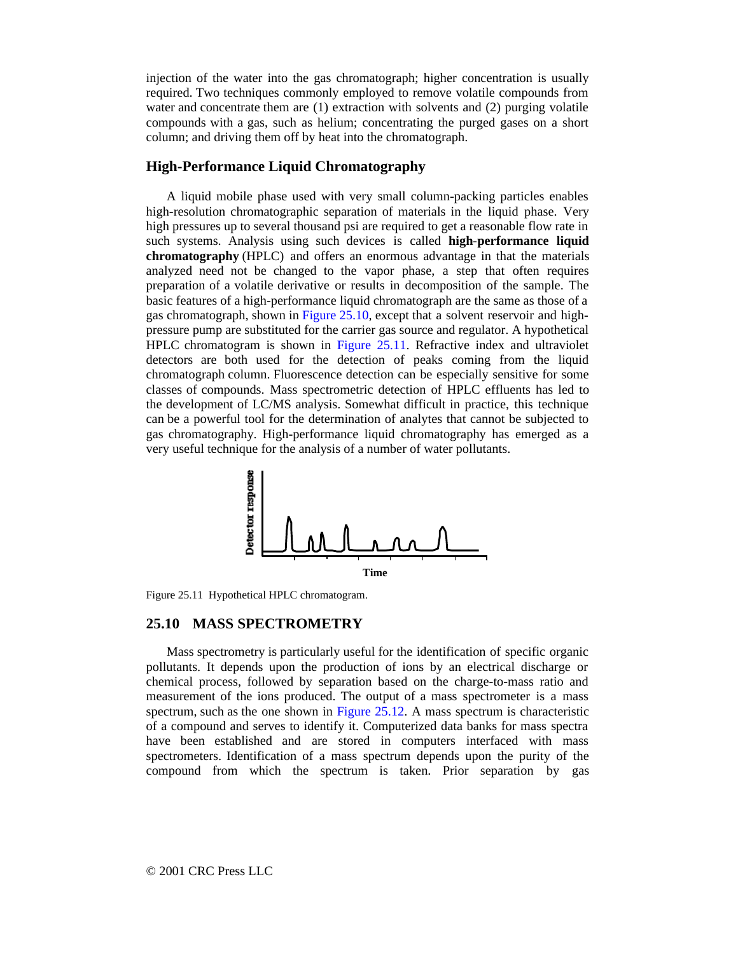injection of the water into the gas chromatograph; higher concentration is usually required. Two techniques commonly employed to remove volatile compounds from water and concentrate them are (1) extraction with solvents and (2) purging volatile compounds with a gas, such as helium; concentrating the purged gases on a short column; and driving them off by heat into the chromatograph.

#### **High-Performance Liquid Chromatography**

A liquid mobile phase used with very small column-packing particles enables high-resolution chromatographic separation of materials in the liquid phase. Very high pressures up to several thousand psi are required to get a reasonable flow rate in such systems. Analysis using such devices is called **high**-**performance liquid chromatography** (HPLC) and offers an enormous advantage in that the materials analyzed need not be changed to the vapor phase, a step that often requires preparation of a volatile derivative or results in decomposition of the sample. The basic features of a high-performance liquid chromatograph are the same as those of a gas chromatograph, shown i[n Figure](#page-18-0) 25.10, except that a solvent reservoir and highpressure pump are substituted for the carrier gas source and regulator. A hypothetical HPLC chromatogram is shown in Figure 25.11. Refractive index and ultraviolet detectors are both used for the detection of peaks coming from the liquid chromatograph column. Fluorescence detection can be especially sensitive for some classes of compounds. Mass spectrometric detection of HPLC effluents has led to the development of LC/MS analysis. Somewhat difficult in practice, this technique can be a powerful tool for the determination of analytes that cannot be subjected to gas chromatography. High-performance liquid chromatography has emerged as a very useful technique for the analysis of a number of water pollutants.



Figure 25.11 Hypothetical HPLC chromatogram.

#### **25.10 MASS SPECTROMETRY**

Mass spectrometry is particularly useful for the identification of specific organic pollutants. It depends upon the production of ions by an electrical discharge or chemical process, followed by separation based on the charge-to-mass ratio and measurement of the ions produced. The output of a mass spectrometer is a mass spectrum, such as the one shown in Figure [25.12. A](#page-20-0) mass spectrum is characteristic of a compound and serves to identify it. Computerized data banks for mass spectra have been established and are stored in computers interfaced with mass spectrometers. Identification of a mass spectrum depends upon the purity of the compound from which the spectrum is taken. Prior separation by gas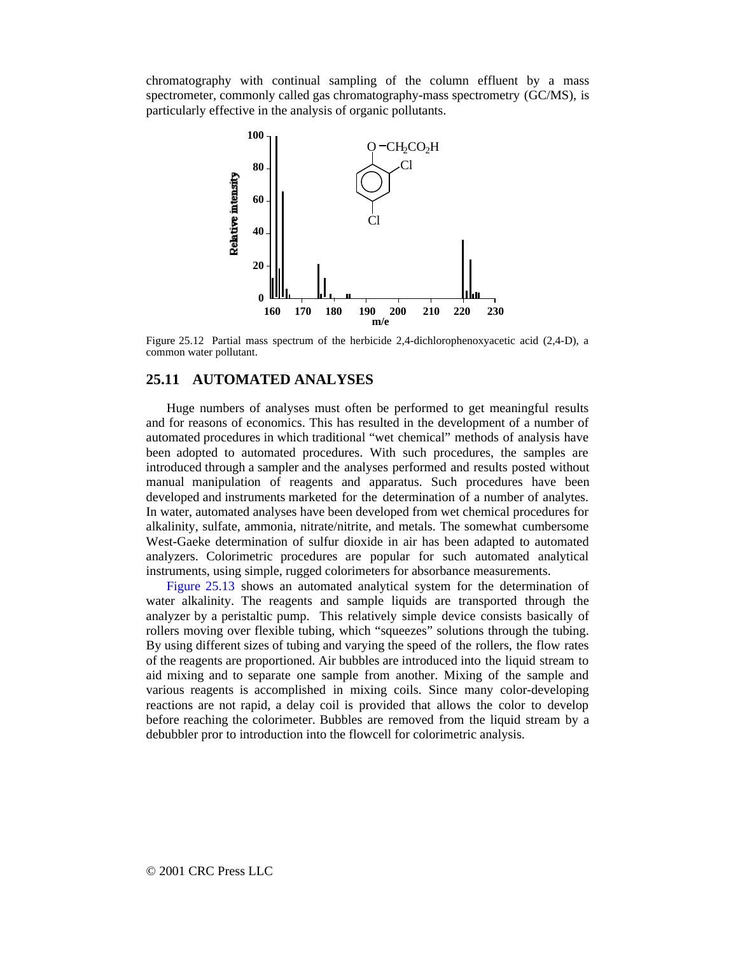<span id="page-20-0"></span>chromatography with continual sampling of the column effluent by a mass spectrometer, commonly called gas chromatography-mass spectrometry (GC/MS), is particularly effective in the analysis of organic pollutants.



Figure 25.12 Partial mass spectrum of the herbicide 2,4-dichlorophenoxyacetic acid (2,4-D), a common water pollutant.

#### **25.11 AUTOMATED ANALYSES**

Huge numbers of analyses must often be performed to get meaningful results and for reasons of economics. This has resulted in the development of a number of automated procedures in which traditional "wet chemical" methods of analysis have been adopted to automated procedures. With such procedures, the samples are introduced through a sampler and the analyses performed and results posted without manual manipulation of reagents and apparatus. Such procedures have been developed and instruments marketed for the determination of a number of analytes. In water, automated analyses have been developed from wet chemical procedures for alkalinity, sulfate, ammonia, nitrate/nitrite, and metals. The somewhat cumbersome West-Gaeke determination of sulfur dioxide in air has been adapted to automated analyzers. Colorimetric procedures are popular for such automated analytical instruments, using simple, rugged colorimeters for absorbance measurements.

Figure [25.13](#page-21-0) shows an automated analytical system for the determination of water alkalinity. The reagents and sample liquids are transported through the analyzer by a peristaltic pump. This relatively simple device consists basically of rollers moving over flexible tubing, which "squeezes" solutions through the tubing. By using different sizes of tubing and varying the speed of the rollers, the flow rates of the reagents are proportioned. Air bubbles are introduced into the liquid stream to aid mixing and to separate one sample from another. Mixing of the sample and various reagents is accomplished in mixing coils. Since many color-developing reactions are not rapid, a delay coil is provided that allows the color to develop before reaching the colorimeter. Bubbles are removed from the liquid stream by a debubbler pror to introduction into the flowcell for colorimetric analysis.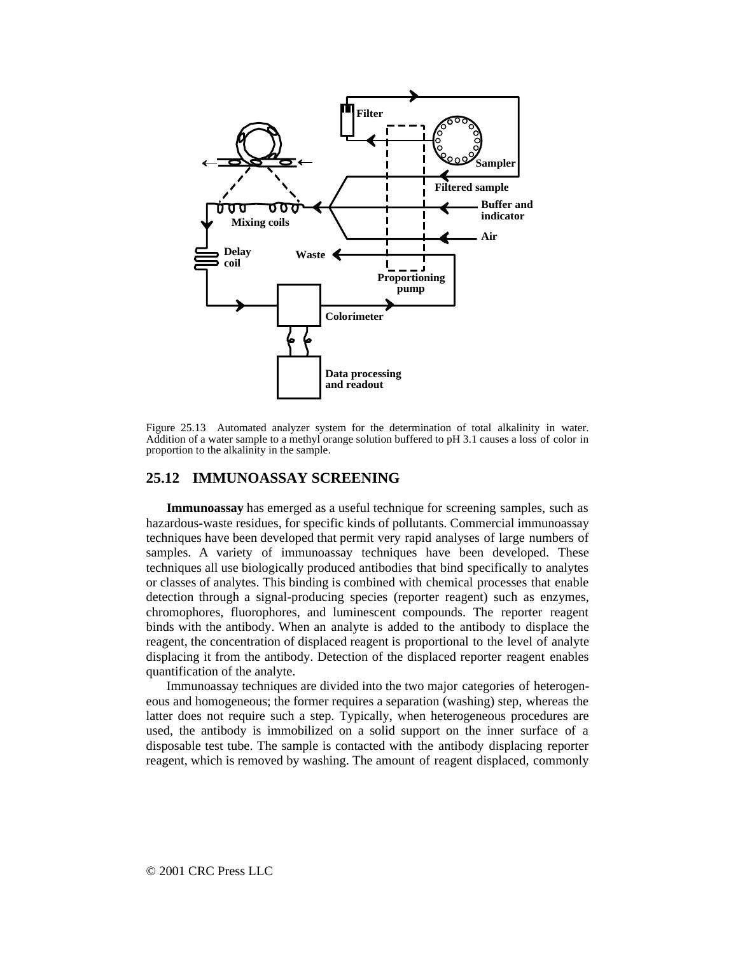<span id="page-21-0"></span>

Figure 25.13 Automated analyzer system for the determination of total alkalinity in water. Addition of a water sample to a methyl orange solution buffered to pH 3.1 causes a loss of color in proportion to the alkalinity in the sample.

#### **25.12 IMMUNOASSAY SCREENING**

**Immunoassay** has emerged as a useful technique for screening samples, such as hazardous-waste residues, for specific kinds of pollutants. Commercial immunoassay techniques have been developed that permit very rapid analyses of large numbers of samples. A variety of immunoassay techniques have been developed. These techniques all use biologically produced antibodies that bind specifically to analytes or classes of analytes. This binding is combined with chemical processes that enable detection through a signal-producing species (reporter reagent) such as enzymes, chromophores, fluorophores, and luminescent compounds. The reporter reagent binds with the antibody. When an analyte is added to the antibody to displace the reagent, the concentration of displaced reagent is proportional to the level of analyte displacing it from the antibody. Detection of the displaced reporter reagent enables quantification of the analyte.

Immunoassay techniques are divided into the two major categories of heterogeneous and homogeneous; the former requires a separation (washing) step, whereas the latter does not require such a step. Typically, when heterogeneous procedures are used, the antibody is immobilized on a solid support on the inner surface of a disposable test tube. The sample is contacted with the antibody displacing reporter reagent, which is removed by washing. The amount of reagent displaced, commonly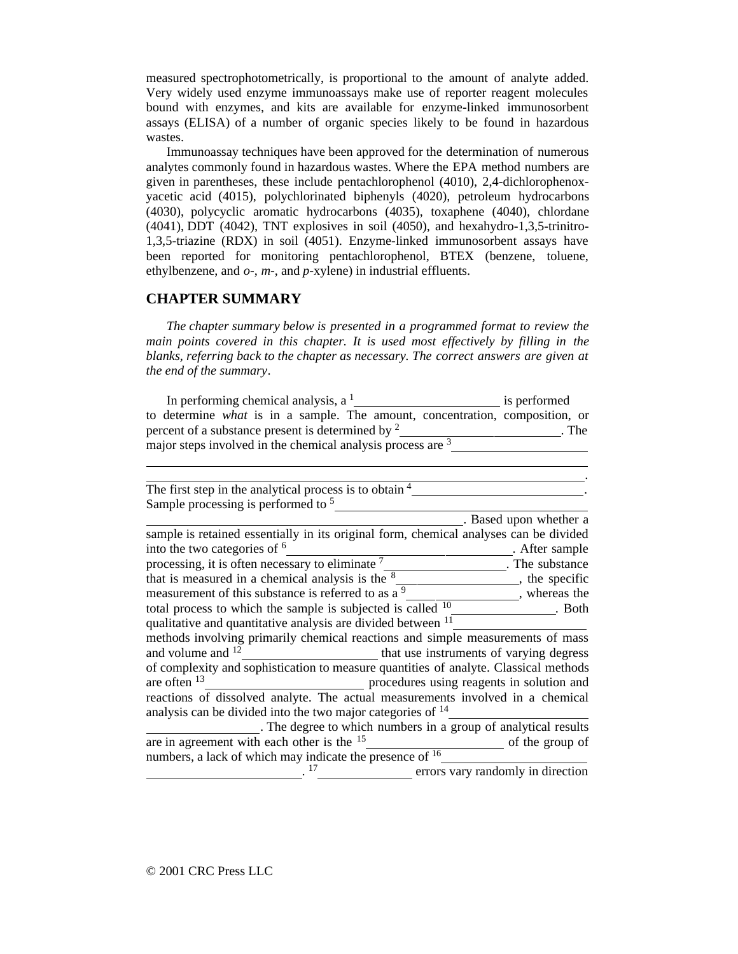measured spectrophotometrically, is proportional to the amount of analyte added. Very widely used enzyme immunoassays make use of reporter reagent molecules bound with enzymes, and kits are available for enzyme-linked immunosorbent assays (ELISA) of a number of organic species likely to be found in hazardous wastes.

Immunoassay techniques have been approved for the determination of numerous analytes commonly found in hazardous wastes. Where the EPA method numbers are given in parentheses, these include pentachlorophenol (4010), 2,4-dichlorophenoxyacetic acid (4015), polychlorinated biphenyls (4020), petroleum hydrocarbons (4030), polycyclic aromatic hydrocarbons (4035), toxaphene (4040), chlordane (4041), DDT (4042), TNT explosives in soil (4050), and hexahydro-1,3,5-trinitro-1,3,5-triazine (RDX) in soil (4051). Enzyme-linked immunosorbent assays have been reported for monitoring pentachlorophenol, BTEX (benzene, toluene, ethylbenzene, and *o*-, *m*-, and *p*-xylene) in industrial effluents.

#### **CHAPTER SUMMARY**

*The chapter summary below is presented in a programmed format to review the main points covered in this chapter. It is used most effectively by filling in the blanks, referring back to the chapter as necessary. The correct answers are given at the end of the summary*.

| In performing chemical analysis, $a1$                                                 | is performed           |  |  |
|---------------------------------------------------------------------------------------|------------------------|--|--|
| to determine what is in a sample. The amount, concentration, composition, or          |                        |  |  |
| percent of a substance present is determined by $2^2$<br>. The                        |                        |  |  |
| major steps involved in the chemical analysis process are $3$                         |                        |  |  |
|                                                                                       |                        |  |  |
|                                                                                       |                        |  |  |
| The first step in the analytical process is to obtain $4$                             |                        |  |  |
| Sample processing is performed to $5$                                                 |                        |  |  |
|                                                                                       | . Based upon whether a |  |  |
| sample is retained essentially in its original form, chemical analyses can be divided |                        |  |  |
| into the two categories of <sup>6</sup>                                               | . After sample         |  |  |
| processing, it is often necessary to eliminate $^7$                                   | . The substance        |  |  |
| that is measured in a chemical analysis is the $8$                                    | , the specific         |  |  |
| measurement of this substance is referred to as a <sup>9</sup>                        | , whereas the          |  |  |
| total process to which the sample is subjected is called <sup>10</sup>                | . Both                 |  |  |

qualitative and quantitative analysis are divided between  $\frac{11}{1}$ methods involving primarily chemical reactions and simple measurements of mass and volume and <sup>12</sup> that use instruments of varying degress of complexity and sophistication to measure quantities of analyte. Classical methods are often <sup>13</sup> procedures using reagents in solution and reactions of dissolved analyte. The actual measurements involved in a chemical analysis can be divided into the two major categories of  $14$ 

 . The degree to which numbers in a group of analytical results are in agreement with each other is the <sup>15</sup> of the group of numbers, a lack of which may indicate the presence of  $16$  .  $\frac{17}{1}$ errors vary randomly in direction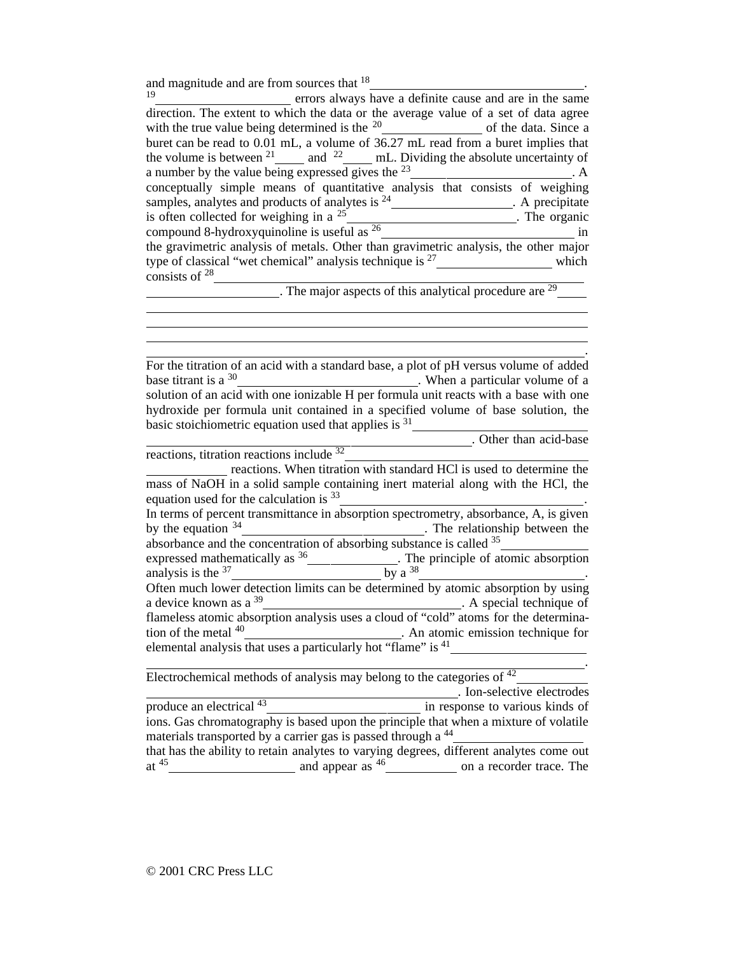and magnitude and are from sources that <sup>18</sup> .

| 19                                                                                | errors always have a definite cause and are in the same                                                                                                                                                                                                                                                                                                                                                                                                                                                                                    |  |  |  |
|-----------------------------------------------------------------------------------|--------------------------------------------------------------------------------------------------------------------------------------------------------------------------------------------------------------------------------------------------------------------------------------------------------------------------------------------------------------------------------------------------------------------------------------------------------------------------------------------------------------------------------------------|--|--|--|
|                                                                                   | direction. The extent to which the data or the average value of a set of data agree                                                                                                                                                                                                                                                                                                                                                                                                                                                        |  |  |  |
| with the true value being determined is the $20$<br>of the data. Since a          |                                                                                                                                                                                                                                                                                                                                                                                                                                                                                                                                            |  |  |  |
| buret can be read to 0.01 mL, a volume of 36.27 mL read from a buret implies that |                                                                                                                                                                                                                                                                                                                                                                                                                                                                                                                                            |  |  |  |
|                                                                                   | the volume is between $21$ and $22$ mL. Dividing the absolute uncertainty of                                                                                                                                                                                                                                                                                                                                                                                                                                                               |  |  |  |
|                                                                                   | a number by the value being expressed gives the $^{23}$<br>$\overline{\phantom{a}}$ $\overline{\phantom{a}}$ $\overline{\phantom{a}}$ $\overline{\phantom{a}}$ $\overline{\phantom{a}}$ $\overline{\phantom{a}}$ $\overline{\phantom{a}}$ $\overline{\phantom{a}}$ $\overline{\phantom{a}}$ $\overline{\phantom{a}}$ $\overline{\phantom{a}}$ $\overline{\phantom{a}}$ $\overline{\phantom{a}}$ $\overline{\phantom{a}}$ $\overline{\phantom{a}}$ $\overline{\phantom{a}}$ $\overline{\phantom{a}}$ $\overline{\phantom{a}}$ $\overline{\$ |  |  |  |
|                                                                                   | conceptually simple means of quantitative analysis that consists of weighing                                                                                                                                                                                                                                                                                                                                                                                                                                                               |  |  |  |
|                                                                                   | samples, analytes and products of analytes is $24$<br>A precipitate                                                                                                                                                                                                                                                                                                                                                                                                                                                                        |  |  |  |
|                                                                                   | is often collected for weighing in a $25$<br>The organic                                                                                                                                                                                                                                                                                                                                                                                                                                                                                   |  |  |  |
|                                                                                   | compound 8-hydroxyquinoline is useful as $^{26}$<br>in                                                                                                                                                                                                                                                                                                                                                                                                                                                                                     |  |  |  |
|                                                                                   | the gravimetric analysis of metals. Other than gravimetric analysis, the other major                                                                                                                                                                                                                                                                                                                                                                                                                                                       |  |  |  |
|                                                                                   |                                                                                                                                                                                                                                                                                                                                                                                                                                                                                                                                            |  |  |  |
|                                                                                   | type of classical "wet chemical" analysis technique is $27$<br>which                                                                                                                                                                                                                                                                                                                                                                                                                                                                       |  |  |  |
| consists of $^{28}$                                                               |                                                                                                                                                                                                                                                                                                                                                                                                                                                                                                                                            |  |  |  |
|                                                                                   | . The major aspects of this analytical procedure are $29$                                                                                                                                                                                                                                                                                                                                                                                                                                                                                  |  |  |  |
|                                                                                   |                                                                                                                                                                                                                                                                                                                                                                                                                                                                                                                                            |  |  |  |
|                                                                                   |                                                                                                                                                                                                                                                                                                                                                                                                                                                                                                                                            |  |  |  |
|                                                                                   |                                                                                                                                                                                                                                                                                                                                                                                                                                                                                                                                            |  |  |  |
|                                                                                   |                                                                                                                                                                                                                                                                                                                                                                                                                                                                                                                                            |  |  |  |
|                                                                                   | For the titration of an acid with a standard base, a plot of pH versus volume of added                                                                                                                                                                                                                                                                                                                                                                                                                                                     |  |  |  |
| base titrant is a $30$                                                            |                                                                                                                                                                                                                                                                                                                                                                                                                                                                                                                                            |  |  |  |
|                                                                                   | solution of an acid with one ionizable H per formula unit reacts with a base with one                                                                                                                                                                                                                                                                                                                                                                                                                                                      |  |  |  |
|                                                                                   | hydroxide per formula unit contained in a specified volume of base solution, the                                                                                                                                                                                                                                                                                                                                                                                                                                                           |  |  |  |
|                                                                                   | basic stoichiometric equation used that applies is $31$                                                                                                                                                                                                                                                                                                                                                                                                                                                                                    |  |  |  |
|                                                                                   | . Other than acid-base                                                                                                                                                                                                                                                                                                                                                                                                                                                                                                                     |  |  |  |
|                                                                                   | reactions, titration reactions include <sup>32</sup>                                                                                                                                                                                                                                                                                                                                                                                                                                                                                       |  |  |  |
|                                                                                   | reactions. When titration with standard HCl is used to determine the                                                                                                                                                                                                                                                                                                                                                                                                                                                                       |  |  |  |
|                                                                                   | mass of NaOH in a solid sample containing inert material along with the HCl, the                                                                                                                                                                                                                                                                                                                                                                                                                                                           |  |  |  |
|                                                                                   | equation used for the calculation is $^{33}$                                                                                                                                                                                                                                                                                                                                                                                                                                                                                               |  |  |  |
|                                                                                   | In terms of percent transmittance in absorption spectrometry, absorbance, A, is given                                                                                                                                                                                                                                                                                                                                                                                                                                                      |  |  |  |
| by the equation $34$                                                              | The relationship between the                                                                                                                                                                                                                                                                                                                                                                                                                                                                                                               |  |  |  |
|                                                                                   | absorbance and the concentration of absorbing substance is called $35$                                                                                                                                                                                                                                                                                                                                                                                                                                                                     |  |  |  |
|                                                                                   | expressed mathematically as $36$ The principle of atomic absorption                                                                                                                                                                                                                                                                                                                                                                                                                                                                        |  |  |  |
| analysis is the $37$                                                              | by a $38$                                                                                                                                                                                                                                                                                                                                                                                                                                                                                                                                  |  |  |  |
|                                                                                   | Often much lower detection limits can be determined by atomic absorption by using                                                                                                                                                                                                                                                                                                                                                                                                                                                          |  |  |  |
| a device known as a <sup>39</sup>                                                 | A special technique of                                                                                                                                                                                                                                                                                                                                                                                                                                                                                                                     |  |  |  |
|                                                                                   | flameless atomic absorption analysis uses a cloud of "cold" atoms for the determina-                                                                                                                                                                                                                                                                                                                                                                                                                                                       |  |  |  |
| tion of the metal $40$                                                            |                                                                                                                                                                                                                                                                                                                                                                                                                                                                                                                                            |  |  |  |
|                                                                                   | elemental analysis that uses a particularly hot "flame" is <sup>41</sup>                                                                                                                                                                                                                                                                                                                                                                                                                                                                   |  |  |  |
|                                                                                   |                                                                                                                                                                                                                                                                                                                                                                                                                                                                                                                                            |  |  |  |
|                                                                                   | Electrochemical methods of analysis may belong to the categories of <sup>42</sup>                                                                                                                                                                                                                                                                                                                                                                                                                                                          |  |  |  |
|                                                                                   | . Ion-selective electrodes                                                                                                                                                                                                                                                                                                                                                                                                                                                                                                                 |  |  |  |
| produce an electrical 43                                                          | in response to various kinds of                                                                                                                                                                                                                                                                                                                                                                                                                                                                                                            |  |  |  |
|                                                                                   | ions. Gas chromatography is based upon the principle that when a mixture of volatile                                                                                                                                                                                                                                                                                                                                                                                                                                                       |  |  |  |
|                                                                                   | materials transported by a carrier gas is passed through a <sup>44</sup>                                                                                                                                                                                                                                                                                                                                                                                                                                                                   |  |  |  |
|                                                                                   |                                                                                                                                                                                                                                                                                                                                                                                                                                                                                                                                            |  |  |  |

that has the ability to retain analytes to varying degrees, different analytes come out at  $45$  and appear as  $46$  on a recorder trace. The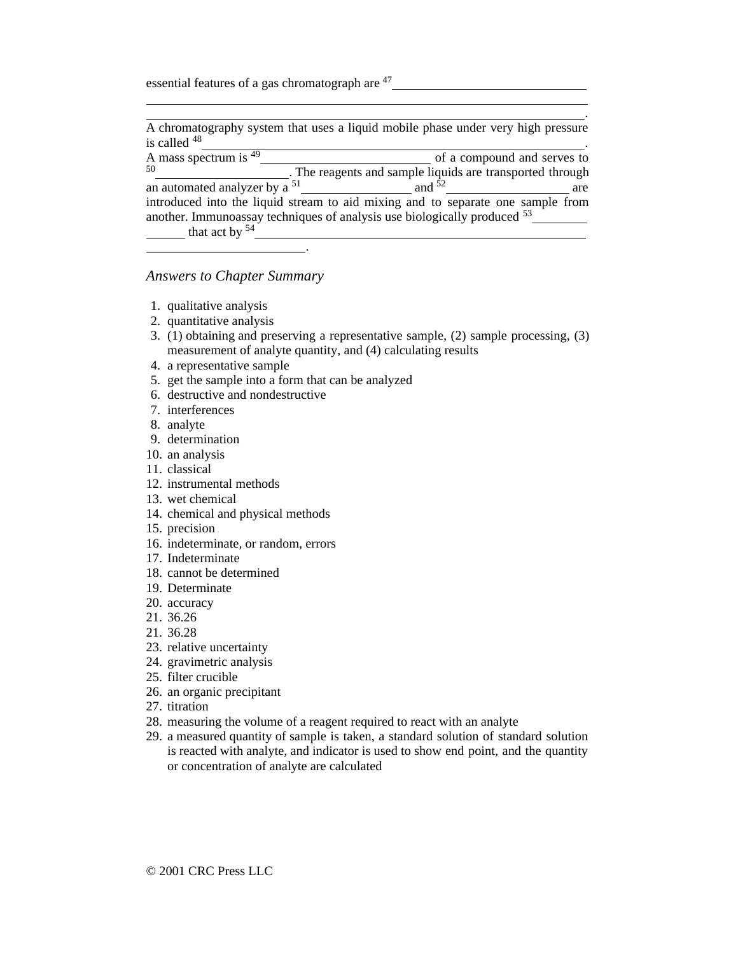essential features of a gas chromatograph are  $47$ 

 . A chromatography system that uses a liquid mobile phase under very high pressure is called <sup>48</sup> <u>. Andrew Maria and American and American and American and American and American and American and American and</u>

| A mass spectrum is $49$                                                             | of a compound and serves to                               |     |
|-------------------------------------------------------------------------------------|-----------------------------------------------------------|-----|
| 50                                                                                  | . The reagents and sample liquids are transported through |     |
| an automated analyzer by a $51$                                                     | and $52$                                                  | are |
| introduced into the liquid stream to aid mixing and to separate one sample from     |                                                           |     |
| another. Immunoassay techniques of analysis use biologically produced <sup>53</sup> |                                                           |     |
| that act by $54$                                                                    |                                                           |     |

#### *Answers to Chapter Summary*

.

- 1. qualitative analysis
- 2. quantitative analysis
- 3. (1) obtaining and preserving a representative sample, (2) sample processing, (3) measurement of analyte quantity, and (4) calculating results
- 4. a representative sample
- 5. get the sample into a form that can be analyzed
- 6. destructive and nondestructive
- 7. interferences
- 8. analyte

 $\overline{a}$ 

- 9. determination
- 10. an analysis
- 11. classical
- 12. instrumental methods
- 13. wet chemical
- 14. chemical and physical methods
- 15. precision
- 16. indeterminate, or random, errors
- 17. Indeterminate
- 18. cannot be determined
- 19. Determinate
- 20. accuracy
- 21. 36.26
- 21. 36.28
- 23. relative uncertainty
- 24. gravimetric analysis
- 25. filter crucible
- 26. an organic precipitant
- 27. titration
- 28. measuring the volume of a reagent required to react with an analyte
- 29. a measured quantity of sample is taken, a standard solution of standard solution is reacted with analyte, and indicator is used to show end point, and the quantity or concentration of analyte are calculated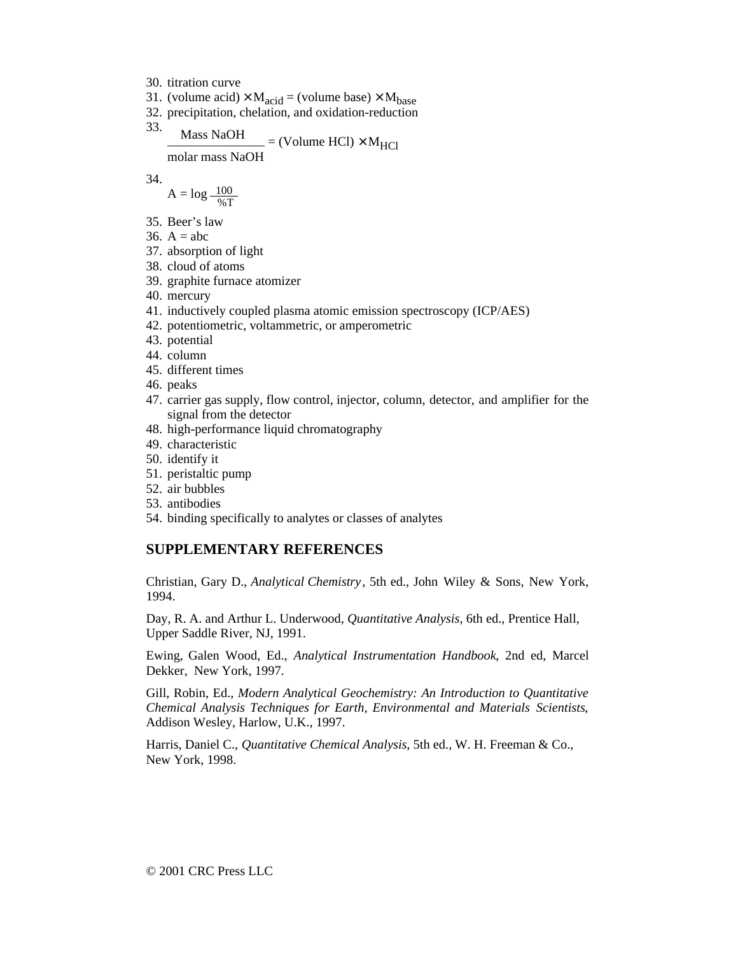- 30. titration curve
- 31. (volume acid)  $\times$  M<sub>acid</sub> = (volume base)  $\times$  M<sub>base</sub>
- 32. precipitation, chelation, and oxidation-reduction

$$
\frac{33.}{\text{molar mass NaOH}} = (\text{Volume HCl}) \times M_{\text{HCl}}
$$

34.

 $A = log \frac{100}{%T}$ 

- 35. Beer's law
- 36.  $A = abc$
- 37. absorption of light
- 38. cloud of atoms
- 39. graphite furnace atomizer
- 40. mercury
- 41. inductively coupled plasma atomic emission spectroscopy (ICP/AES)
- 42. potentiometric, voltammetric, or amperometric
- 43. potential
- 44. column
- 45. different times
- 46. peaks
- 47. carrier gas supply, flow control, injector, column, detector, and amplifier for the signal from the detector
- 48. high-performance liquid chromatography
- 49. characteristic
- 50. identify it
- 51. peristaltic pump
- 52. air bubbles
- 53. antibodies
- 54. binding specifically to analytes or classes of analytes

## **SUPPLEMENTARY REFERENCES**

Christian, Gary D., *Analytical Chemistry*, 5th ed., John Wiley & Sons, New York, 1994.

Day, R. A. and Arthur L. Underwood, *Quantitative Analysis*, 6th ed., Prentice Hall, Upper Saddle River, NJ, 1991.

Ewing, Galen Wood, Ed., *Analytical Instrumentation Handbook*, 2nd ed, Marcel Dekker, New York, 1997.

Gill, Robin, Ed., *Modern Analytical Geochemistry: An Introduction to Quantitative Chemical Analysis Techniques for Earth, Environmental and Materials Scientists*, Addison Wesley, Harlow, U.K., 1997.

Harris, Daniel C., *Quantitative Chemical Analysis*, 5th ed., W. H. Freeman & Co., New York, 1998.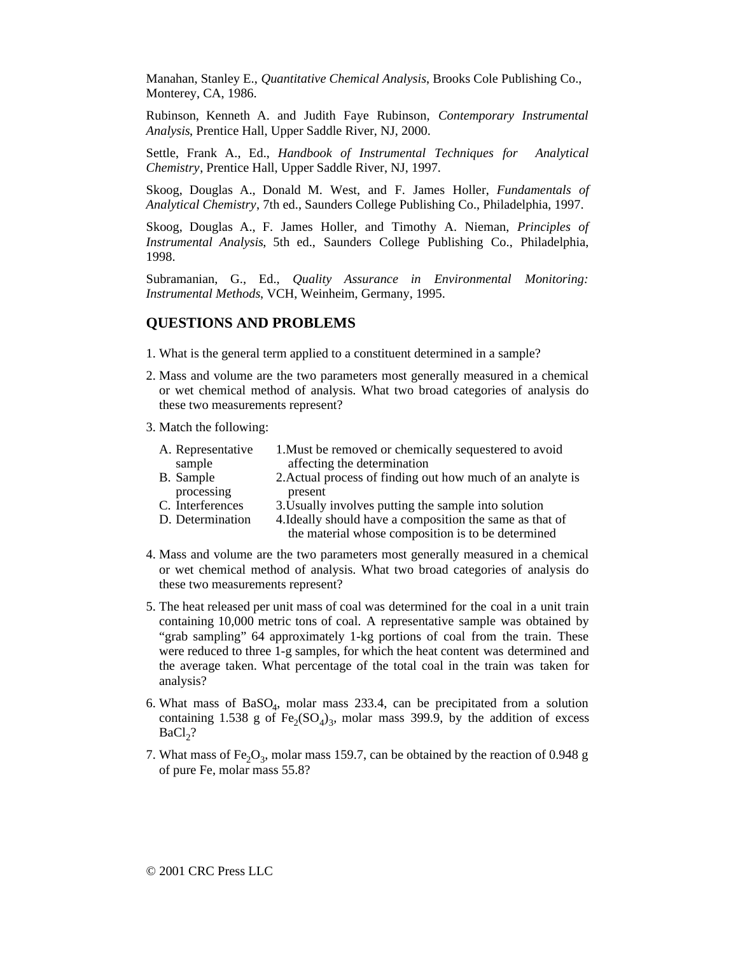Manahan, Stanley E., *Quantitative Chemical Analysis*, Brooks Cole Publishing Co., Monterey, CA, 1986.

Rubinson, Kenneth A. and Judith Faye Rubinson, *Contemporary Instrumental Analysis*, Prentice Hall, Upper Saddle River, NJ, 2000.

Settle, Frank A., Ed., *Handbook of Instrumental Techniques for Analytical Chemistry*, Prentice Hall, Upper Saddle River, NJ, 1997.

Skoog, Douglas A., Donald M. West, and F. James Holler, *Fundamentals of Analytical Chemistry*, 7th ed., Saunders College Publishing Co., Philadelphia, 1997.

Skoog, Douglas A., F. James Holler, and Timothy A. Nieman, *Principles of Instrumental Analysis*, 5th ed., Saunders College Publishing Co., Philadelphia, 1998.

Subramanian, G., Ed., *Quality Assurance in Environmental Monitoring: Instrumental Methods*, VCH, Weinheim, Germany, 1995.

#### **QUESTIONS AND PROBLEMS**

- 1. What is the general term applied to a constituent determined in a sample?
- 2. Mass and volume are the two parameters most generally measured in a chemical or wet chemical method of analysis. What two broad categories of analysis do these two measurements represent?
- 3. Match the following:

| A. Representative | 1. Must be removed or chemically sequestered to avoid      |
|-------------------|------------------------------------------------------------|
| sample            | affecting the determination                                |
| B. Sample         | 2. Actual process of finding out how much of an analyte is |
| processing        | present                                                    |
| C. Interferences  | 3. Usually involves putting the sample into solution       |
| D. Determination  | 4. Ideally should have a composition the same as that of   |
|                   | the material whose composition is to be determined         |

- 4. Mass and volume are the two parameters most generally measured in a chemical or wet chemical method of analysis. What two broad categories of analysis do these two measurements represent?
- 5. The heat released per unit mass of coal was determined for the coal in a unit train containing 10,000 metric tons of coal. A representative sample was obtained by "grab sampling" 64 approximately 1-kg portions of coal from the train. These were reduced to three 1-g samples, for which the heat content was determined and the average taken. What percentage of the total coal in the train was taken for analysis?
- 6. What mass of  $BaSO<sub>4</sub>$ , molar mass 233.4, can be precipitated from a solution containing 1.538 g of  $Fe<sub>2</sub>(SO<sub>4</sub>)<sub>3</sub>$ , molar mass 399.9, by the addition of excess  $BaCl<sub>2</sub>$ ?
- 7. What mass of  $Fe<sub>2</sub>O<sub>3</sub>$ , molar mass 159.7, can be obtained by the reaction of 0.948 g of pure Fe, molar mass 55.8?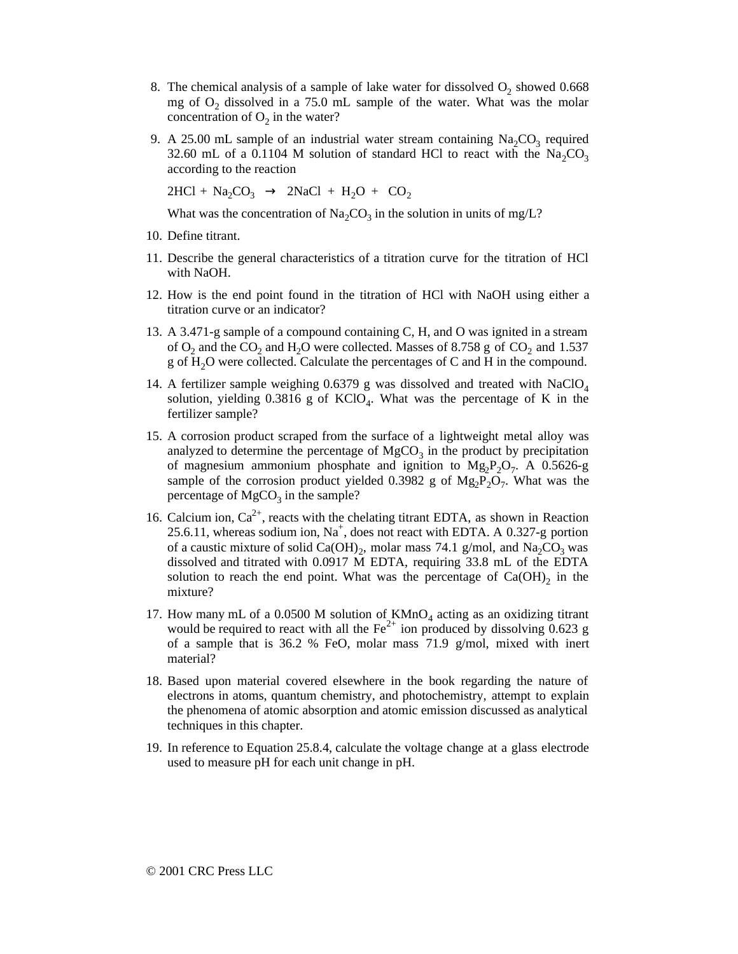- 8. The chemical analysis of a sample of lake water for dissolved  $O_2$  showed 0.668 mg of  $O_2$  dissolved in a 75.0 mL sample of the water. What was the molar concentration of  $O_2$  in the water?
- 9. A 25.00 mL sample of an industrial water stream containing  $\text{Na}_2\text{CO}_3$  required 32.60 mL of a 0.1104 M solution of standard HCl to react with the  $Na_2CO_3$ according to the reaction

 $2HCl + Na<sub>2</sub>CO<sub>3</sub>$  $2$ NaCl + H<sub>2</sub>O + CO<sub>2</sub>

What was the concentration of  $\text{Na}_2\text{CO}_3$  in the solution in units of mg/L?

- 10. Define titrant.
- 11. Describe the general characteristics of a titration curve for the titration of HCl with NaOH.
- 12. How is the end point found in the titration of HCl with NaOH using either a titration curve or an indicator?
- 13. A 3.471-g sample of a compound containing C, H, and O was ignited in a stream of  $O_2$  and the CO<sub>2</sub> and H<sub>2</sub>O were collected. Masses of 8.758 g of CO<sub>2</sub> and 1.537 g of  $H_2O$  were collected. Calculate the percentages of C and H in the compound.
- 14. A fertilizer sample weighing 0.6379 g was dissolved and treated with  $NaClO<sub>4</sub>$ solution, yielding  $0.3816$  g of  $KClO<sub>4</sub>$ . What was the percentage of K in the fertilizer sample?
- 15. A corrosion product scraped from the surface of a lightweight metal alloy was analyzed to determine the percentage of  $MgCO<sub>3</sub>$  in the product by precipitation of magnesium ammonium phosphate and ignition to  $Mg_2P_2O_7$ . A 0.5626-g sample of the corrosion product yielded 0.3982 g of  $Mg_2P_2O_7$ . What was the percentage of  $MgCO<sub>3</sub>$  in the sample?
- 16. Calcium ion,  $Ca^{2+}$ , reacts with the chelating titrant EDTA, as shown in Reaction 25.6.11, whereas sodium ion,  $Na^+$ , does not react with EDTA. A 0.327-g portion of a caustic mixture of solid  $Ca(OH)_2$ , molar mass 74.1 g/mol, and  $Na_2CO_3$  was dissolved and titrated with 0.0917 M EDTA, requiring 33.8 mL of the EDTA solution to reach the end point. What was the percentage of  $Ca(OH)_{2}$  in the mixture?
- 17. How many mL of a 0.0500 M solution of  $KMnO<sub>4</sub>$  acting as an oxidizing titrant would be required to react with all the  $Fe^{2+}$  ion produced by dissolving 0.623 g of a sample that is 36.2 % FeO, molar mass 71.9 g/mol, mixed with inert material?
- 18. Based upon material covered elsewhere in the book regarding the nature of electrons in atoms, quantum chemistry, and photochemistry, attempt to explain the phenomena of atomic absorption and atomic emission discussed as analytical techniques in this chapter.
- 19. In reference to Equation 25.8.4, calculate the voltage change at a glass electrode used to measure pH for each unit change in pH.